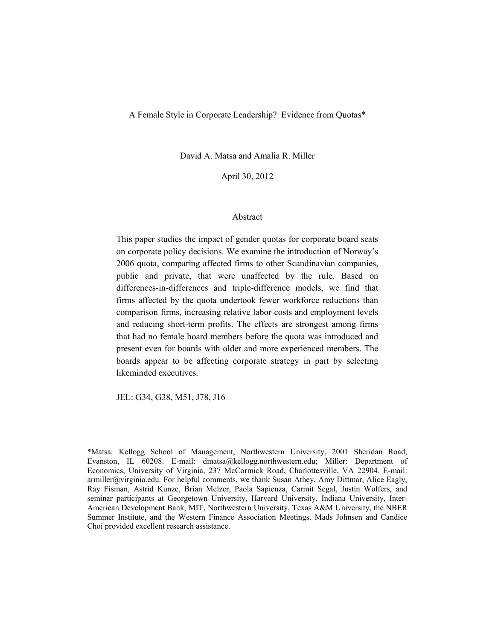A Female Style in Corporate Leadership? Evidence from Quotas\*

David A. Matsa and Amalia R. Miller

April 30, 2012

#### Abstract

This paper studies the impact of gender quotas for corporate board seats on corporate policy decisions. We examine the introduction of Norway's 2006 quota, comparing affected firms to other Scandinavian companies, public and private, that were unaffected by the rule. Based on differences-in-differences and triple-difference models, we find that firms affected by the quota undertook fewer workforce reductions than comparison firms, increasing relative labor costs and employment levels and reducing short-term profits. The effects are strongest among firms that had no female board members before the quota was introduced and present even for boards with older and more experienced members. The boards appear to be affecting corporate strategy in part by selecting likeminded executives.

JEL: G34, G38, M51, J78, J16

\*Matsa: Kellogg School of Management, Northwestern University, 2001 Sheridan Road, Evanston, IL 60208. E-mail: dmatsa@kellogg.northwestern.edu; Miller: Department of Economics, University of Virginia, 237 McCormick Road, Charlottesville, VA 22904. E-mail: armiller@virginia.edu. For helpful comments, we thank Susan Athey, Amy Dittmar, Alice Eagly, Ray Fisman, Astrid Kunze, Brian Melzer, Paola Sapienza, Carmit Segal, Justin Wolfers, and seminar participants at Georgetown University, Harvard University, Indiana University, Inter-American Development Bank, MIT, Northwestern University, Texas A&M University, the NBER Summer Institute, and the Western Finance Association Meetings. Mads Johnsen and Candice Choi provided excellent research assistance.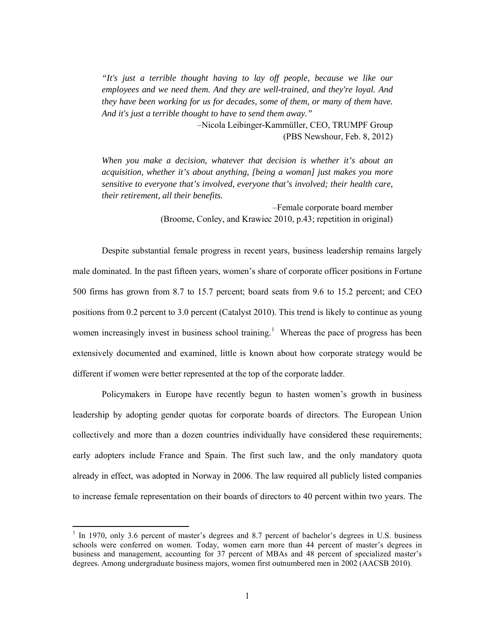*"It's just a terrible thought having to lay off people, because we like our employees and we need them. And they are well-trained, and they're loyal. And they have been working for us for decades, some of them, or many of them have. And it's just a terrible thought to have to send them away."*

> –Nicola Leibinger-Kammüller, CEO, TRUMPF Group (PBS Newshour, Feb. 8, 2012)

*When you make a decision, whatever that decision is whether it's about an acquisition, whether it's about anything, [being a woman] just makes you more sensitive to everyone that's involved, everyone that's involved; their health care, their retirement, all their benefits.*

> –Female corporate board member (Broome, Conley, and Krawiec 2010, p.43; repetition in original)

Despite substantial female progress in recent years, business leadership remains largely male dominated. In the past fifteen years, women's share of corporate officer positions in Fortune 500 firms has grown from 8.7 to 15.7 percent; board seats from 9.6 to 15.2 percent; and CEO positions from 0.2 percent to 3.0 percent (Catalyst 2010). This trend is likely to continue as young women increasingly invest in business school training.<sup>[1](#page-1-0)</sup> Whereas the pace of progress has been extensively documented and examined, little is known about how corporate strategy would be different if women were better represented at the top of the corporate ladder.

Policymakers in Europe have recently begun to hasten women's growth in business leadership by adopting gender quotas for corporate boards of directors. The European Union collectively and more than a dozen countries individually have considered these requirements; early adopters include France and Spain. The first such law, and the only mandatory quota already in effect, was adopted in Norway in 2006. The law required all publicly listed companies to increase female representation on their boards of directors to 40 percent within two years. The

<span id="page-1-0"></span><sup>&</sup>lt;sup>1</sup> In 1970, only 3.6 percent of master's degrees and 8.7 percent of bachelor's degrees in U.S. business schools were conferred on women. Today, women earn more than 44 percent of master's degrees in business and management, accounting for 37 percent of MBAs and 48 percent of specialized master's degrees. Among undergraduate business majors, women first outnumbered men in 2002 (AACSB 2010).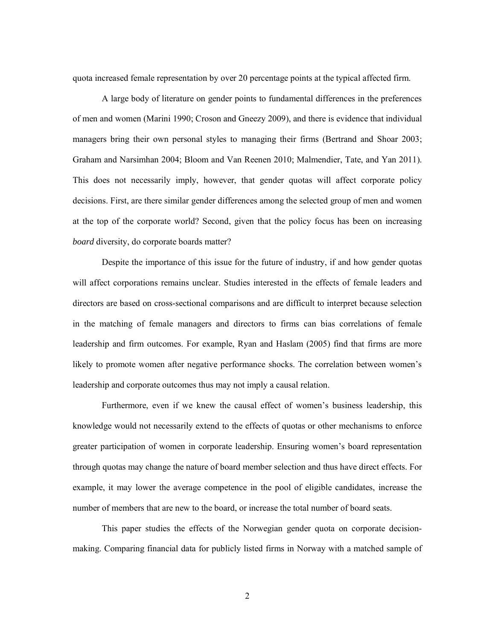quota increased female representation by over 20 percentage points at the typical affected firm.

A large body of literature on gender points to fundamental differences in the preferences of men and women (Marini 1990; Croson and Gneezy 2009), and there is evidence that individual managers bring their own personal styles to managing their firms (Bertrand and Shoar 2003; Graham and Narsimhan 2004; Bloom and Van Reenen 2010; Malmendier, Tate, and Yan 2011). This does not necessarily imply, however, that gender quotas will affect corporate policy decisions. First, are there similar gender differences among the selected group of men and women at the top of the corporate world? Second, given that the policy focus has been on increasing *board* diversity, do corporate boards matter?

Despite the importance of this issue for the future of industry, if and how gender quotas will affect corporations remains unclear. Studies interested in the effects of female leaders and directors are based on cross-sectional comparisons and are difficult to interpret because selection in the matching of female managers and directors to firms can bias correlations of female leadership and firm outcomes. For example, Ryan and Haslam (2005) find that firms are more likely to promote women after negative performance shocks. The correlation between women's leadership and corporate outcomes thus may not imply a causal relation.

Furthermore, even if we knew the causal effect of women's business leadership, this knowledge would not necessarily extend to the effects of quotas or other mechanisms to enforce greater participation of women in corporate leadership. Ensuring women's board representation through quotas may change the nature of board member selection and thus have direct effects. For example, it may lower the average competence in the pool of eligible candidates, increase the number of members that are new to the board, or increase the total number of board seats.

This paper studies the effects of the Norwegian gender quota on corporate decisionmaking. Comparing financial data for publicly listed firms in Norway with a matched sample of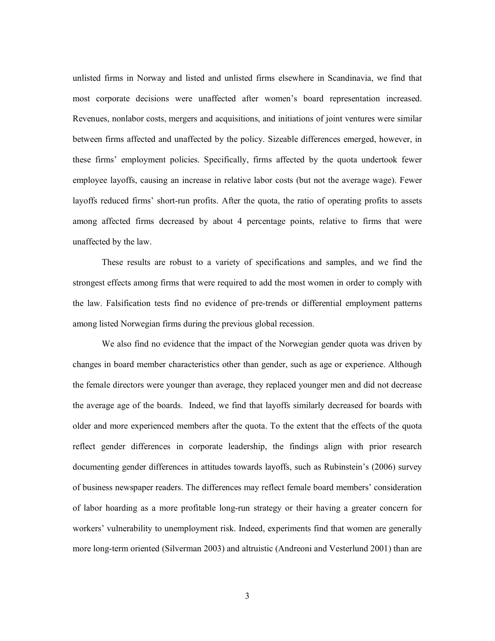unlisted firms in Norway and listed and unlisted firms elsewhere in Scandinavia, we find that most corporate decisions were unaffected after women's board representation increased. Revenues, nonlabor costs, mergers and acquisitions, and initiations of joint ventures were similar between firms affected and unaffected by the policy. Sizeable differences emerged, however, in these firms' employment policies. Specifically, firms affected by the quota undertook fewer employee layoffs, causing an increase in relative labor costs (but not the average wage). Fewer layoffs reduced firms' short-run profits. After the quota, the ratio of operating profits to assets among affected firms decreased by about 4 percentage points, relative to firms that were unaffected by the law.

These results are robust to a variety of specifications and samples, and we find the strongest effects among firms that were required to add the most women in order to comply with the law. Falsification tests find no evidence of pre-trends or differential employment patterns among listed Norwegian firms during the previous global recession.

We also find no evidence that the impact of the Norwegian gender quota was driven by changes in board member characteristics other than gender, such as age or experience. Although the female directors were younger than average, they replaced younger men and did not decrease the average age of the boards. Indeed, we find that layoffs similarly decreased for boards with older and more experienced members after the quota. To the extent that the effects of the quota reflect gender differences in corporate leadership, the findings align with prior research documenting gender differences in attitudes towards layoffs, such as Rubinstein's (2006) survey of business newspaper readers. The differences may reflect female board members' consideration of labor hoarding as a more profitable long-run strategy or their having a greater concern for workers' vulnerability to unemployment risk. Indeed, experiments find that women are generally more long-term oriented (Silverman 2003) and altruistic (Andreoni and Vesterlund 2001) than are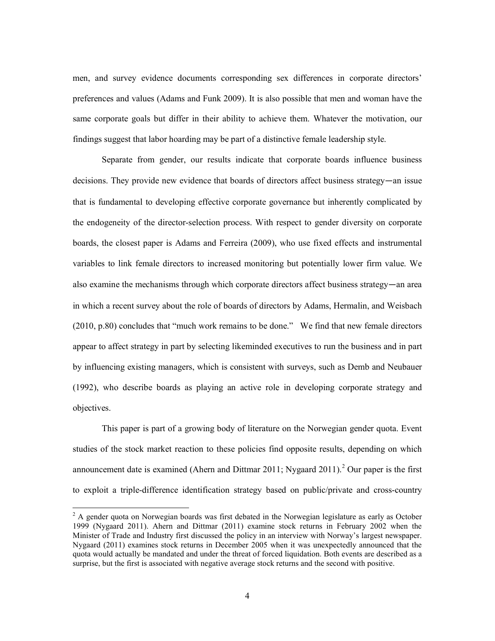men, and survey evidence documents corresponding sex differences in corporate directors' preferences and values (Adams and Funk 2009). It is also possible that men and woman have the same corporate goals but differ in their ability to achieve them. Whatever the motivation, our findings suggest that labor hoarding may be part of a distinctive female leadership style.

Separate from gender, our results indicate that corporate boards influence business decisions. They provide new evidence that boards of directors affect business strategy—an issue that is fundamental to developing effective corporate governance but inherently complicated by the endogeneity of the director-selection process. With respect to gender diversity on corporate boards, the closest paper is Adams and Ferreira (2009), who use fixed effects and instrumental variables to link female directors to increased monitoring but potentially lower firm value. We also examine the mechanisms through which corporate directors affect business strategy—an area in which a recent survey about the role of boards of directors by Adams, Hermalin, and Weisbach (2010, p.80) concludes that "much work remains to be done." We find that new female directors appear to affect strategy in part by selecting likeminded executives to run the business and in part by influencing existing managers, which is consistent with surveys, such as Demb and Neubauer (1992), who describe boards as playing an active role in developing corporate strategy and objectives.

<span id="page-4-1"></span>This paper is part of a growing body of literature on the Norwegian gender quota. Event studies of the stock market reaction to these policies find opposite results, depending on which announcement date is examined (Ahern and Dittmar [2](#page-4-0)011; Nygaard 2011).<sup>2</sup> Our paper is the first to exploit a triple-difference identification strategy based on public/private and cross-country

<span id="page-4-0"></span> $2$  A gender quota on Norwegian boards was first debated in the Norwegian legislature as early as October 1999 (Nygaard 2011). Ahern and Dittmar (2011) examine stock returns in February 2002 when the Minister of Trade and Industry first discussed the policy in an interview with Norway's largest newspaper. Nygaard (2011) examines stock returns in December 2005 when it was unexpectedly announced that the quota would actually be mandated and under the threat of forced liquidation. Both events are described as a surprise, but the first is associated with negative average stock returns and the second with positive.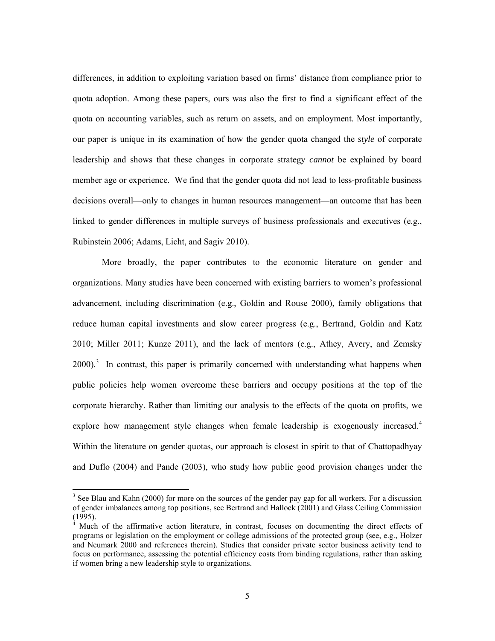differences, in addition to exploiting variation based on firms' distance from compliance prior to quota adoption. Among these papers, ours was also the first to find a significant effect of the quota on accounting variables, such as return on assets, and on employment. Most importantly, our paper is unique in its examination of how the gender quota changed the *style* of corporate leadership and shows that these changes in corporate strategy *cannot* be explained by board member age or experience. We find that the gender quota did not lead to less-profitable business decisions overall—only to changes in human resources management—an outcome that has been linked to gender differences in multiple surveys of business professionals and executives (e.g., Rubinstein 2006; Adams, Licht, and Sagiv 2010).

More broadly, the paper contributes to the economic literature on gender and organizations. Many studies have been concerned with existing barriers to women's professional advancement, including discrimination (e.g., Goldin and Rouse 2000), family obligations that reduce human capital investments and slow career progress (e.g., Bertrand, Goldin and Katz 2010; Miller 2011; Kunze 2011), and the lack of mentors (e.g., Athey, Avery, and Zemsky  $2000$ .<sup>[3](#page-5-0)</sup> In contrast, this paper is primarily concerned with understanding what happens when public policies help women overcome these barriers and occupy positions at the top of the corporate hierarchy. Rather than limiting our analysis to the effects of the quota on profits, we explore how management style changes when female leadership is exogenously increased. [4](#page-5-1) Within the literature on gender quotas, our approach is closest in spirit to that of Chattopadhyay and Duflo (2004) and Pande (2003), who study how public good provision changes under the

<span id="page-5-0"></span><sup>&</sup>lt;sup>3</sup> See Blau and Kahn (2000) for more on the sources of the gender pay gap for all workers. For a discussion of gender imbalances among top positions, see Bertrand and Hallock (2001) and Glass Ceiling Commission  $(1995)$ .

<span id="page-5-1"></span>Much of the affirmative action literature, in contrast, focuses on documenting the direct effects of programs or legislation on the employment or college admissions of the protected group (see, e.g., Holzer and Neumark 2000 and references therein). Studies that consider private sector business activity tend to focus on performance, assessing the potential efficiency costs from binding regulations, rather than asking if women bring a new leadership style to organizations.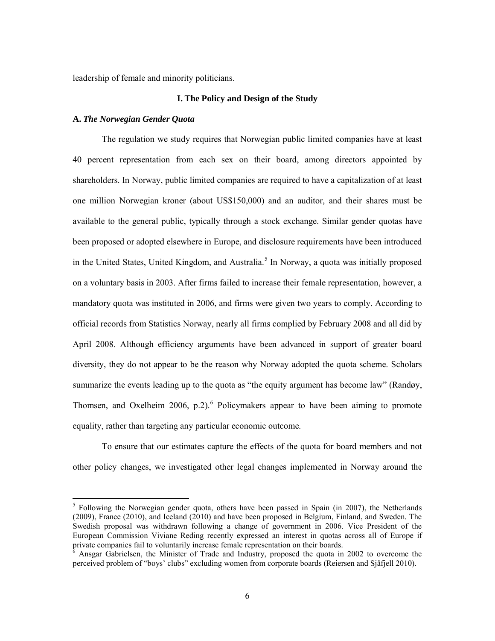leadership of female and minority politicians.

## **I. The Policy and Design of the Study**

#### **A.** *The Norwegian Gender Quota*

The regulation we study requires that Norwegian public limited companies have at least 40 percent representation from each sex on their board, among directors appointed by shareholders. In Norway, public limited companies are required to have a capitalization of at least one million Norwegian kroner (about US\$150,000) and an auditor, and their shares must be available to the general public, typically through a stock exchange. Similar gender quotas have been proposed or adopted elsewhere in Europe, and disclosure requirements have been introduced in the United States, United Kingdom, and Australia.<sup>[5](#page-6-0)</sup> In Norway, a quota was initially proposed on a voluntary basis in 2003. After firms failed to increase their female representation, however, a mandatory quota was instituted in 2006, and firms were given two years to comply. According to official records from Statistics Norway, nearly all firms complied by February 2008 and all did by April 2008. Although efficiency arguments have been advanced in support of greater board diversity, they do not appear to be the reason why Norway adopted the quota scheme. Scholars summarize the events leading up to the quota as "the equity argument has become law" (Randøy, Thomsen, and Oxelheim 200[6](#page-6-1), p.2).<sup>6</sup> Policymakers appear to have been aiming to promote equality, rather than targeting any particular economic outcome.

To ensure that our estimates capture the effects of the quota for board members and not other policy changes, we investigated other legal changes implemented in Norway around the

<span id="page-6-0"></span><sup>&</sup>lt;sup>5</sup> Following the Norwegian gender quota, others have been passed in Spain (in 2007), the Netherlands (2009), France (2010), and Iceland (2010) and have been proposed in Belgium, Finland, and Sweden. The Swedish proposal was withdrawn following a change of government in 2006. Vice President of the European Commission Viviane Reding recently expressed an interest in quotas across all of Europe if

<span id="page-6-1"></span>Ansgar Gabrielsen, the Minister of Trade and Industry, proposed the quota in 2002 to overcome the perceived problem of "boys' clubs" excluding women from corporate boards (Reiersen and Sjåfjell 2010).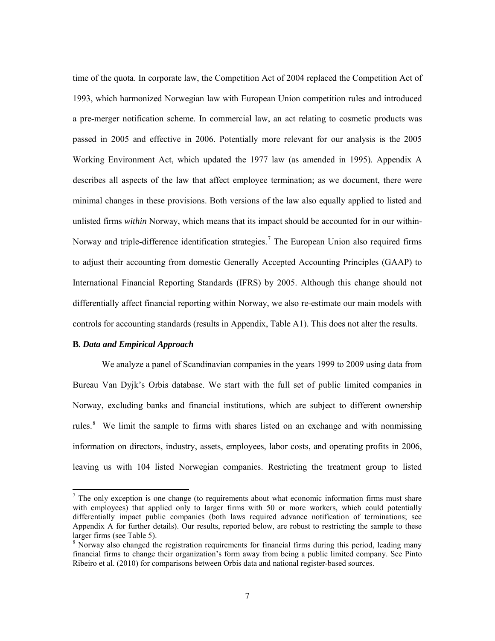time of the quota. In corporate law, the Competition Act of 2004 replaced the Competition Act of 1993, which harmonized Norwegian law with European Union competition rules and introduced a pre-merger notification scheme. In commercial law, an act relating to cosmetic products was passed in 2005 and effective in 2006. Potentially more relevant for our analysis is the 2005 Working Environment Act, which updated the 1977 law (as amended in 1995). Appendix A describes all aspects of the law that affect employee termination; as we document, there were minimal changes in these provisions. Both versions of the law also equally applied to listed and unlisted firms *within* Norway, which means that its impact should be accounted for in our within-Norway and triple-difference identification strategies.<sup>[7](#page-7-0)</sup> The European Union also required firms to adjust their accounting from domestic Generally Accepted Accounting Principles (GAAP) to International Financial Reporting Standards (IFRS) by 2005. Although this change should not differentially affect financial reporting within Norway, we also re-estimate our main models with controls for accounting standards (results in Appendix, Table A1). This does not alter the results.

#### **B***. Data and Empirical Approach*

We analyze a panel of Scandinavian companies in the years 1999 to 2009 using data from Bureau Van Dyjk's Orbis database. We start with the full set of public limited companies in Norway, excluding banks and financial institutions, which are subject to different ownership rules. $8$  We limit the sample to firms with shares listed on an exchange and with nonmissing information on directors, industry, assets, employees, labor costs, and operating profits in 2006, leaving us with 104 listed Norwegian companies. Restricting the treatment group to listed

<span id="page-7-0"></span> $<sup>7</sup>$  The only exception is one change (to requirements about what economic information firms must share</sup> with employees) that applied only to larger firms with 50 or more workers, which could potentially differentially impact public companies (both laws required advance notification of terminations; see Appendix A for further details). Our results, reported below, are robust to restricting the sample to these larger firms (see Table 5).

<span id="page-7-1"></span><sup>&</sup>lt;sup>8</sup> Norway also changed the registration requirements for financial firms during this period, leading many financial firms to change their organization's form away from being a public limited company. See Pinto Ribeiro et al. (2010) for comparisons between Orbis data and national register-based sources.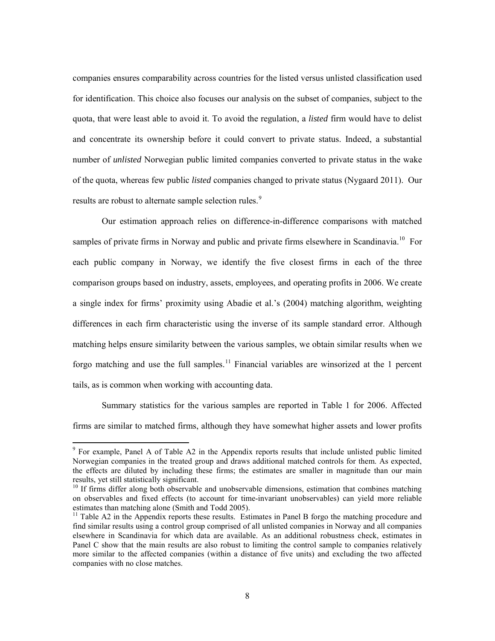companies ensures comparability across countries for the listed versus unlisted classification used for identification. This choice also focuses our analysis on the subset of companies, subject to the quota, that were least able to avoid it. To avoid the regulation, a *listed* firm would have to delist and concentrate its ownership before it could convert to private status. Indeed, a substantial number of *unlisted* Norwegian public limited companies converted to private status in the wake of the quota, whereas few public *listed* companies changed to private status (Nygaard 2011). Our results are robust to alternate sample selection rules.<sup>[9](#page-8-0)</sup>

Our estimation approach relies on difference-in-difference comparisons with matched samples of private firms in Norway and public and private firms elsewhere in Scandinavia.<sup>10</sup> For each public company in Norway, we identify the five closest firms in each of the three comparison groups based on industry, assets, employees, and operating profits in 2006. We create a single index for firms' proximity using Abadie et al.'s (2004) matching algorithm, weighting differences in each firm characteristic using the inverse of its sample standard error. Although matching helps ensure similarity between the various samples, we obtain similar results when we forgo matching and use the full samples.<sup>[11](#page-8-2)</sup> Financial variables are winsorized at the 1 percent tails, as is common when working with accounting data.

Summary statistics for the various samples are reported in Table 1 for 2006. Affected firms are similar to matched firms, although they have somewhat higher assets and lower profits

<span id="page-8-0"></span><sup>9</sup> For example, Panel A of Table A2 in the Appendix reports results that include unlisted public limited Norwegian companies in the treated group and draws additional matched controls for them. As expected, the effects are diluted by including these firms; the estimates are smaller in magnitude than our main results, yet still statistically significant.<br><sup>10</sup> If firms differ along both observable and unobservable dimensions, estimation that combines matching

<span id="page-8-1"></span>on observables and fixed effects (to account for time-invariant unobservables) can yield more reliable

<span id="page-8-2"></span> $11$  Table A2 in the Appendix reports these results. Estimates in Panel B forgo the matching procedure and find similar results using a control group comprised of all unlisted companies in Norway and all companies elsewhere in Scandinavia for which data are available. As an additional robustness check, estimates in Panel C show that the main results are also robust to limiting the control sample to companies relatively more similar to the affected companies (within a distance of five units) and excluding the two affected companies with no close matches.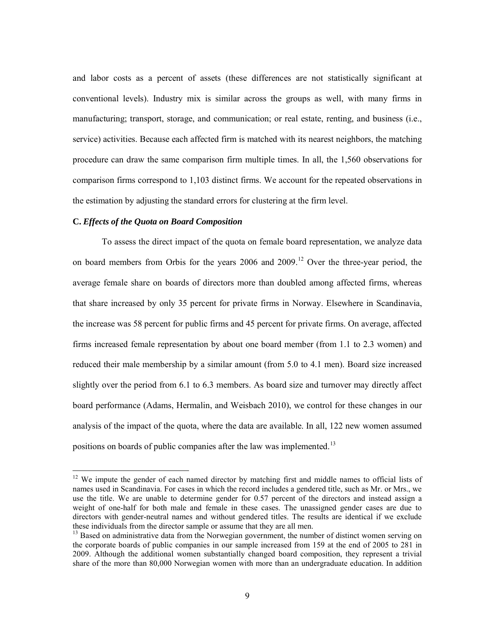and labor costs as a percent of assets (these differences are not statistically significant at conventional levels). Industry mix is similar across the groups as well, with many firms in manufacturing; transport, storage, and communication; or real estate, renting, and business (i.e., service) activities. Because each affected firm is matched with its nearest neighbors, the matching procedure can draw the same comparison firm multiple times. In all, the 1,560 observations for comparison firms correspond to 1,103 distinct firms. We account for the repeated observations in the estimation by adjusting the standard errors for clustering at the firm level.

#### **C.** *Effects of the Quota on Board Composition*

To assess the direct impact of the quota on female board representation, we analyze data on board members from Orbis for the years 2006 and 2009.<sup>[12](#page-9-0)</sup> Over the three-year period, the average female share on boards of directors more than doubled among affected firms, whereas that share increased by only 35 percent for private firms in Norway. Elsewhere in Scandinavia, the increase was 58 percent for public firms and 45 percent for private firms. On average, affected firms increased female representation by about one board member (from 1.1 to 2.3 women) and reduced their male membership by a similar amount (from 5.0 to 4.1 men). Board size increased slightly over the period from 6.1 to 6.3 members. As board size and turnover may directly affect board performance (Adams, Hermalin, and Weisbach 2010), we control for these changes in our analysis of the impact of the quota, where the data are available. In all, 122 new women assumed positions on boards of public companies after the law was implemented.<sup>[13](#page-9-1)</sup>

<span id="page-9-0"></span><sup>&</sup>lt;sup>12</sup> We impute the gender of each named director by matching first and middle names to official lists of names used in Scandinavia. For cases in which the record includes a gendered title, such as Mr. or Mrs., we use the title. We are unable to determine gender for 0.57 percent of the directors and instead assign a weight of one-half for both male and female in these cases. The unassigned gender cases are due to directors with gender-neutral names and without gendered titles. The results are identical if we exclude these individuals from the director sample or assume that they are all men.

<span id="page-9-1"></span> $13$  Based on administrative data from the Norwegian government, the number of distinct women serving on the corporate boards of public companies in our sample increased from 159 at the end of 2005 to 281 in 2009. Although the additional women substantially changed board composition, they represent a trivial share of the more than 80,000 Norwegian women with more than an undergraduate education. In addition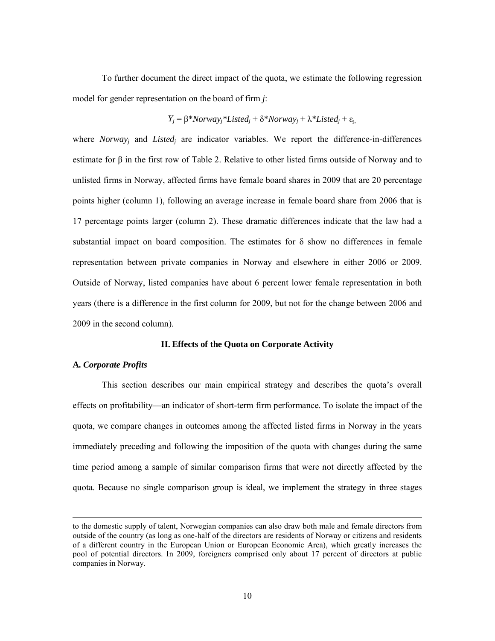To further document the direct impact of the quota, we estimate the following regression model for gender representation on the board of firm *j*:

### *Y<sub>j</sub>* = β\**Norway<sub>i</sub>*\**Listed<sub>i</sub>* + δ\**Norway<sub>i</sub>* + λ\**Listed<sub>i</sub>* + ε<sub>i</sub>,

where *Norway* and *Listed* are indicator variables. We report the difference-in-differences estimate for β in the first row of Table 2. Relative to other listed firms outside of Norway and to unlisted firms in Norway, affected firms have female board shares in 2009 that are 20 percentage points higher (column 1), following an average increase in female board share from 2006 that is 17 percentage points larger (column 2). These dramatic differences indicate that the law had a substantial impact on board composition. The estimates for  $\delta$  show no differences in female representation between private companies in Norway and elsewhere in either 2006 or 2009. Outside of Norway, listed companies have about 6 percent lower female representation in both years (there is a difference in the first column for 2009, but not for the change between 2006 and 2009 in the second column).

### **II. Effects of the Quota on Corporate Activity**

#### **A***. Corporate Profits*

 $\overline{\phantom{a}}$ 

This section describes our main empirical strategy and describes the quota's overall effects on profitability—an indicator of short-term firm performance. To isolate the impact of the quota, we compare changes in outcomes among the affected listed firms in Norway in the years immediately preceding and following the imposition of the quota with changes during the same time period among a sample of similar comparison firms that were not directly affected by the quota. Because no single comparison group is ideal, we implement the strategy in three stages

to the domestic supply of talent, Norwegian companies can also draw both male and female directors from outside of the country (as long as one-half of the directors are residents of Norway or citizens and residents of a different country in the European Union or European Economic Area), which greatly increases the pool of potential directors. In 2009, foreigners comprised only about 17 percent of directors at public companies in Norway.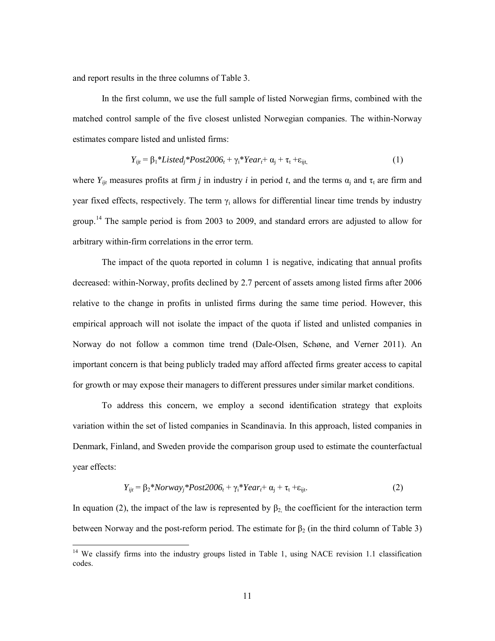and report results in the three columns of Table 3.

In the first column, we use the full sample of listed Norwegian firms, combined with the matched control sample of the five closest unlisted Norwegian companies. The within-Norway estimates compare listed and unlisted firms:

$$
Y_{ijt} = \beta_1 * Listed_j * Post2006_t + \gamma_i * Year_t + \alpha_j + \tau_t + \varepsilon_{ijt},
$$
\n(1)

where  $Y_{ijt}$  measures profits at firm *j* in industry *i* in period *t*, and the terms  $\alpha_i$  and  $\tau_t$  are firm and year fixed effects, respectively. The term  $\gamma_i$  allows for differential linear time trends by industry group.<sup>[14](#page-11-0)</sup> The sample period is from 2003 to 2009, and standard errors are adjusted to allow for arbitrary within-firm correlations in the error term.

The impact of the quota reported in column 1 is negative, indicating that annual profits decreased: within-Norway, profits declined by 2.7 percent of assets among listed firms after 2006 relative to the change in profits in unlisted firms during the same time period. However, this empirical approach will not isolate the impact of the quota if listed and unlisted companies in Norway do not follow a common time trend (Dale-Olsen, Schøne, and Verner 2011). An important concern is that being publicly traded may afford affected firms greater access to capital for growth or may expose their managers to different pressures under similar market conditions.

To address this concern, we employ a second identification strategy that exploits variation within the set of listed companies in Scandinavia. In this approach, listed companies in Denmark, Finland, and Sweden provide the comparison group used to estimate the counterfactual year effects:

$$
Y_{ijt} = \beta_2 * Norway_j * Post2006_t + \gamma_i * Year_t + \alpha_j + \tau_t + \varepsilon_{ijt}.
$$
 (2)

In equation (2), the impact of the law is represented by  $\beta_2$ , the coefficient for the interaction term between Norway and the post-reform period. The estimate for  $\beta_2$  (in the third column of Table 3)

<span id="page-11-0"></span><sup>&</sup>lt;sup>14</sup> We classify firms into the industry groups listed in Table 1, using NACE revision 1.1 classification codes.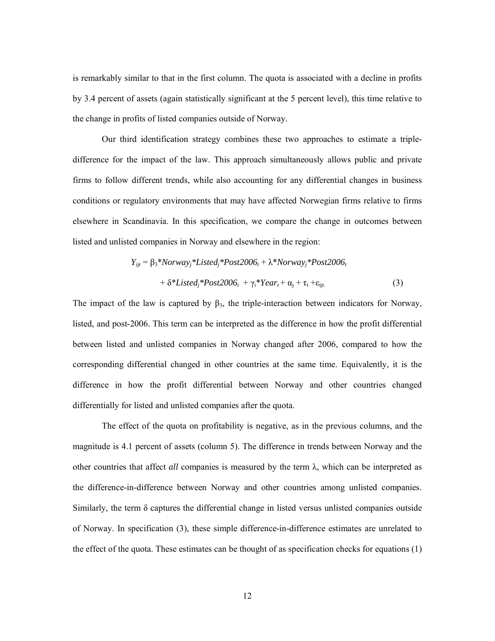is remarkably similar to that in the first column. The quota is associated with a decline in profits by 3.4 percent of assets (again statistically significant at the 5 percent level), this time relative to the change in profits of listed companies outside of Norway.

Our third identification strategy combines these two approaches to estimate a tripledifference for the impact of the law. This approach simultaneously allows public and private firms to follow different trends, while also accounting for any differential changes in business conditions or regulatory environments that may have affected Norwegian firms relative to firms elsewhere in Scandinavia. In this specification, we compare the change in outcomes between listed and unlisted companies in Norway and elsewhere in the region:

$$
Y_{ijt} = \beta_3 * Norway_j *Listed_j * Post2006_t + \lambda * Norway_j * Post2006_t + \delta *Listed_j * Post2006_t + \gamma_i * Year_t + \alpha_j + \tau_t + \varepsilon_{ijt}
$$
\n(3)

The impact of the law is captured by  $\beta_3$ , the triple-interaction between indicators for Norway, listed, and post-2006. This term can be interpreted as the difference in how the profit differential between listed and unlisted companies in Norway changed after 2006, compared to how the corresponding differential changed in other countries at the same time. Equivalently, it is the difference in how the profit differential between Norway and other countries changed differentially for listed and unlisted companies after the quota.

The effect of the quota on profitability is negative, as in the previous columns, and the magnitude is 4.1 percent of assets (column 5). The difference in trends between Norway and the other countries that affect *all* companies is measured by the term λ, which can be interpreted as the difference-in-difference between Norway and other countries among unlisted companies. Similarly, the term  $\delta$  captures the differential change in listed versus unlisted companies outside of Norway. In specification (3), these simple difference-in-difference estimates are unrelated to the effect of the quota. These estimates can be thought of as specification checks for equations (1)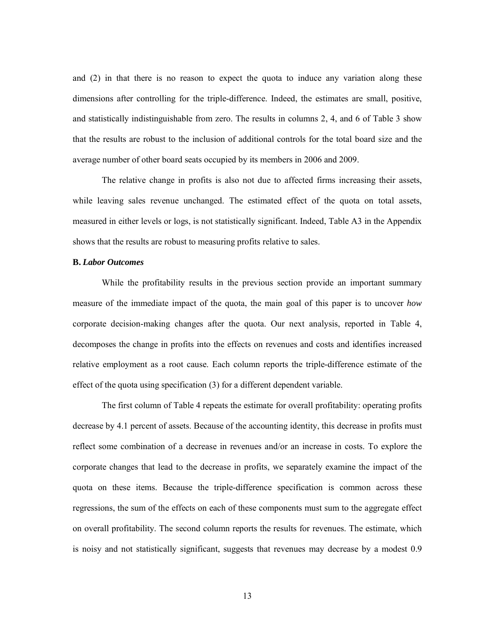and (2) in that there is no reason to expect the quota to induce any variation along these dimensions after controlling for the triple-difference. Indeed, the estimates are small, positive, and statistically indistinguishable from zero. The results in columns 2, 4, and 6 of Table 3 show that the results are robust to the inclusion of additional controls for the total board size and the average number of other board seats occupied by its members in 2006 and 2009.

The relative change in profits is also not due to affected firms increasing their assets, while leaving sales revenue unchanged. The estimated effect of the quota on total assets, measured in either levels or logs, is not statistically significant. Indeed, Table A3 in the Appendix shows that the results are robust to measuring profits relative to sales.

## **B.** *Labor Outcomes*

While the profitability results in the previous section provide an important summary measure of the immediate impact of the quota, the main goal of this paper is to uncover *how* corporate decision-making changes after the quota. Our next analysis, reported in Table 4, decomposes the change in profits into the effects on revenues and costs and identifies increased relative employment as a root cause. Each column reports the triple-difference estimate of the effect of the quota using specification (3) for a different dependent variable.

The first column of Table 4 repeats the estimate for overall profitability: operating profits decrease by 4.1 percent of assets. Because of the accounting identity, this decrease in profits must reflect some combination of a decrease in revenues and/or an increase in costs. To explore the corporate changes that lead to the decrease in profits, we separately examine the impact of the quota on these items. Because the triple-difference specification is common across these regressions, the sum of the effects on each of these components must sum to the aggregate effect on overall profitability. The second column reports the results for revenues. The estimate, which is noisy and not statistically significant, suggests that revenues may decrease by a modest 0.9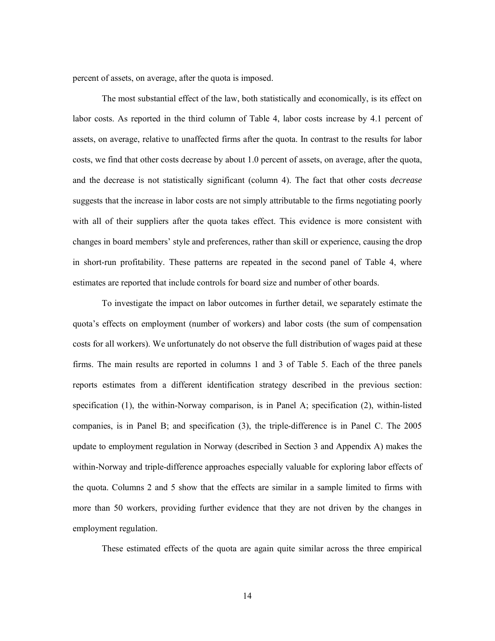percent of assets, on average, after the quota is imposed.

The most substantial effect of the law, both statistically and economically, is its effect on labor costs. As reported in the third column of Table 4, labor costs increase by 4.1 percent of assets, on average, relative to unaffected firms after the quota. In contrast to the results for labor costs, we find that other costs decrease by about 1.0 percent of assets, on average, after the quota, and the decrease is not statistically significant (column 4). The fact that other costs *decrease* suggests that the increase in labor costs are not simply attributable to the firms negotiating poorly with all of their suppliers after the quota takes effect. This evidence is more consistent with changes in board members' style and preferences, rather than skill or experience, causing the drop in short-run profitability. These patterns are repeated in the second panel of Table 4, where estimates are reported that include controls for board size and number of other boards.

To investigate the impact on labor outcomes in further detail, we separately estimate the quota's effects on employment (number of workers) and labor costs (the sum of compensation costs for all workers). We unfortunately do not observe the full distribution of wages paid at these firms. The main results are reported in columns 1 and 3 of Table 5. Each of the three panels reports estimates from a different identification strategy described in the previous section: specification (1), the within-Norway comparison, is in Panel A; specification (2), within-listed companies, is in Panel B; and specification (3), the triple-difference is in Panel C. The 2005 update to employment regulation in Norway (described in Section 3 and Appendix A) makes the within-Norway and triple-difference approaches especially valuable for exploring labor effects of the quota. Columns 2 and 5 show that the effects are similar in a sample limited to firms with more than 50 workers, providing further evidence that they are not driven by the changes in employment regulation.

These estimated effects of the quota are again quite similar across the three empirical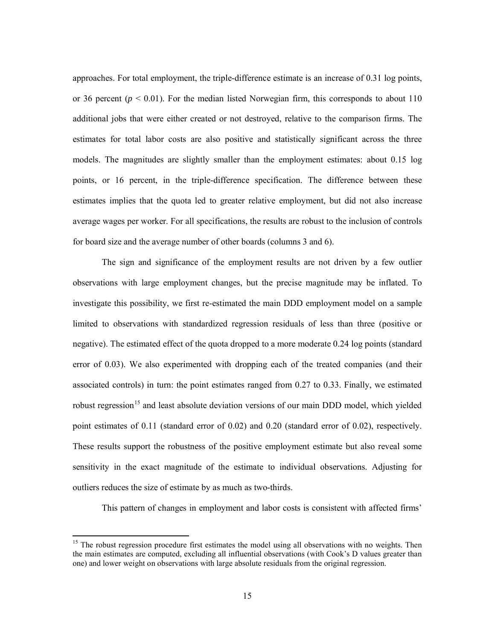approaches. For total employment, the triple-difference estimate is an increase of 0.31 log points, or 36 percent  $(p < 0.01)$ . For the median listed Norwegian firm, this corresponds to about 110 additional jobs that were either created or not destroyed, relative to the comparison firms. The estimates for total labor costs are also positive and statistically significant across the three models. The magnitudes are slightly smaller than the employment estimates: about 0.15 log points, or 16 percent, in the triple-difference specification. The difference between these estimates implies that the quota led to greater relative employment, but did not also increase average wages per worker. For all specifications, the results are robust to the inclusion of controls for board size and the average number of other boards (columns 3 and 6).

The sign and significance of the employment results are not driven by a few outlier observations with large employment changes, but the precise magnitude may be inflated. To investigate this possibility, we first re-estimated the main DDD employment model on a sample limited to observations with standardized regression residuals of less than three (positive or negative). The estimated effect of the quota dropped to a more moderate 0.24 log points (standard error of 0.03). We also experimented with dropping each of the treated companies (and their associated controls) in turn: the point estimates ranged from 0.27 to 0.33. Finally, we estimated robust regression<sup>[15](#page-15-0)</sup> and least absolute deviation versions of our main DDD model, which yielded point estimates of 0.11 (standard error of 0.02) and 0.20 (standard error of 0.02), respectively. These results support the robustness of the positive employment estimate but also reveal some sensitivity in the exact magnitude of the estimate to individual observations. Adjusting for outliers reduces the size of estimate by as much as two-thirds.

This pattern of changes in employment and labor costs is consistent with affected firms'

<span id="page-15-0"></span><sup>&</sup>lt;sup>15</sup> The robust regression procedure first estimates the model using all observations with no weights. Then the main estimates are computed, excluding all influential observations (with Cook's D values greater than one) and lower weight on observations with large absolute residuals from the original regression.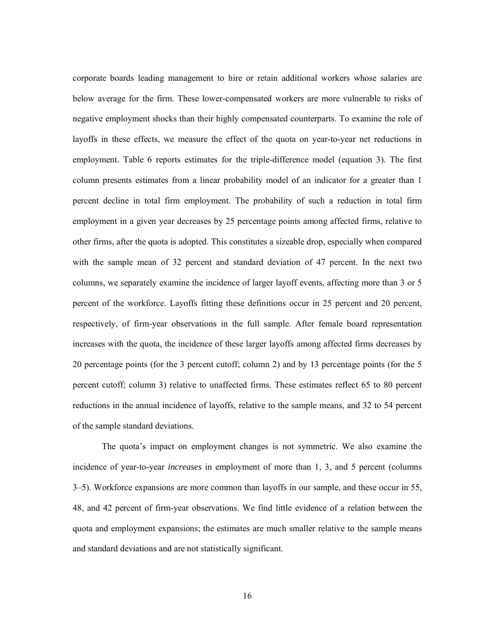corporate boards leading management to hire or retain additional workers whose salaries are below average for the firm. These lower-compensated workers are more vulnerable to risks of negative employment shocks than their highly compensated counterparts. To examine the role of layoffs in these effects, we measure the effect of the quota on year-to-year net reductions in employment. Table 6 reports estimates for the triple-difference model (equation 3). The first column presents estimates from a linear probability model of an indicator for a greater than 1 percent decline in total firm employment. The probability of such a reduction in total firm employment in a given year decreases by 25 percentage points among affected firms, relative to other firms, after the quota is adopted. This constitutes a sizeable drop, especially when compared with the sample mean of 32 percent and standard deviation of 47 percent. In the next two columns, we separately examine the incidence of larger layoff events, affecting more than 3 or 5 percent of the workforce. Layoffs fitting these definitions occur in 25 percent and 20 percent, respectively, of firm-year observations in the full sample. After female board representation increases with the quota, the incidence of these larger layoffs among affected firms decreases by 20 percentage points (for the 3 percent cutoff; column 2) and by 13 percentage points (for the 5 percent cutoff; column 3) relative to unaffected firms. These estimates reflect 65 to 80 percent reductions in the annual incidence of layoffs, relative to the sample means, and 32 to 54 percent of the sample standard deviations.

The quota's impact on employment changes is not symmetric. We also examine the incidence of year-to-year *increases* in employment of more than 1, 3, and 5 percent (columns 3‒5). Workforce expansions are more common than layoffs in our sample, and these occur in 55, 48, and 42 percent of firm-year observations. We find little evidence of a relation between the quota and employment expansions; the estimates are much smaller relative to the sample means and standard deviations and are not statistically significant.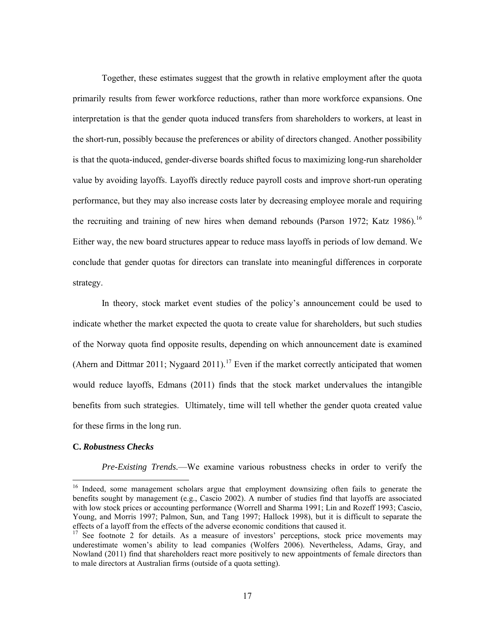Together, these estimates suggest that the growth in relative employment after the quota primarily results from fewer workforce reductions, rather than more workforce expansions. One interpretation is that the gender quota induced transfers from shareholders to workers, at least in the short-run, possibly because the preferences or ability of directors changed. Another possibility is that the quota-induced, gender-diverse boards shifted focus to maximizing long-run shareholder value by avoiding layoffs. Layoffs directly reduce payroll costs and improve short-run operating performance, but they may also increase costs later by decreasing employee morale and requiring the recruiting and training of new hires when demand rebounds (Parson 1972; Katz 1986).<sup>[16](#page-17-0)</sup> Either way, the new board structures appear to reduce mass layoffs in periods of low demand. We conclude that gender quotas for directors can translate into meaningful differences in corporate strategy.

In theory, stock market event studies of the policy's announcement could be used to indicate whether the market expected the quota to create value for shareholders, but such studies of the Norway quota find opposite results, depending on which announcement date is examined (Ahern and Dittmar 2011; Nygaard 2011).<sup>[17](#page-17-1)</sup> Even if the market correctly anticipated that women would reduce layoffs, Edmans (2011) finds that the stock market undervalues the intangible benefits from such strategies. Ultimately, time will tell whether the gender quota created value for these firms in the long run.

#### **C.** *Robustness Checks*

*Pre-Existing Trends.*—We examine various robustness checks in order to verify the

<span id="page-17-0"></span><sup>&</sup>lt;sup>16</sup> Indeed, some management scholars argue that employment downsizing often fails to generate the benefits sought by management (e.g., Cascio 2002). A number of studies find that layoffs are associated with low stock prices or accounting performance (Worrell and Sharma 1991; Lin and Rozeff 1993; Cascio, Young, and Morris 1997; Palmon, Sun, and Tang 1997; Hallock 1998), but it is difficult to separate the

<span id="page-17-1"></span> $17$  See footnote [2](#page-4-1) for details. As a measure of investors' perceptions, stock price movements may underestimate women's ability to lead companies (Wolfers 2006). Nevertheless, Adams, Gray, and Nowland (2011) find that shareholders react more positively to new appointments of female directors than to male directors at Australian firms (outside of a quota setting).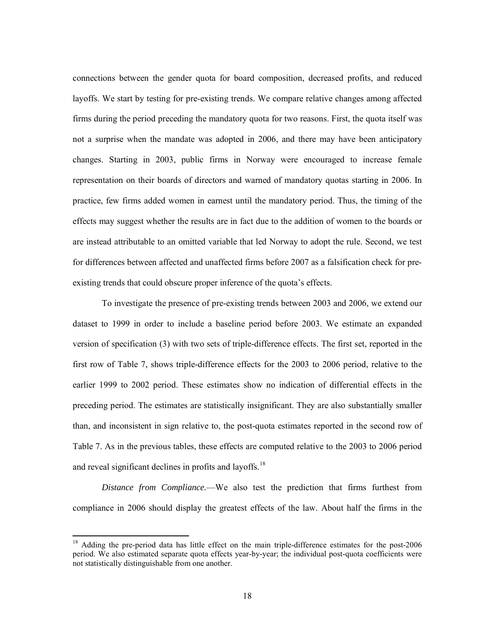connections between the gender quota for board composition, decreased profits, and reduced layoffs. We start by testing for pre-existing trends. We compare relative changes among affected firms during the period preceding the mandatory quota for two reasons. First, the quota itself was not a surprise when the mandate was adopted in 2006, and there may have been anticipatory changes. Starting in 2003, public firms in Norway were encouraged to increase female representation on their boards of directors and warned of mandatory quotas starting in 2006. In practice, few firms added women in earnest until the mandatory period. Thus, the timing of the effects may suggest whether the results are in fact due to the addition of women to the boards or are instead attributable to an omitted variable that led Norway to adopt the rule. Second, we test for differences between affected and unaffected firms before 2007 as a falsification check for preexisting trends that could obscure proper inference of the quota's effects.

To investigate the presence of pre-existing trends between 2003 and 2006, we extend our dataset to 1999 in order to include a baseline period before 2003. We estimate an expanded version of specification (3) with two sets of triple-difference effects. The first set, reported in the first row of Table 7, shows triple-difference effects for the 2003 to 2006 period, relative to the earlier 1999 to 2002 period. These estimates show no indication of differential effects in the preceding period. The estimates are statistically insignificant. They are also substantially smaller than, and inconsistent in sign relative to, the post-quota estimates reported in the second row of Table 7. As in the previous tables, these effects are computed relative to the 2003 to 2006 period and reveal significant declines in profits and layoffs.<sup>[18](#page-18-0)</sup>

*Distance from Compliance.*—We also test the prediction that firms furthest from compliance in 2006 should display the greatest effects of the law. About half the firms in the

<span id="page-18-0"></span><sup>&</sup>lt;sup>18</sup> Adding the pre-period data has little effect on the main triple-difference estimates for the post-2006 period. We also estimated separate quota effects year-by-year; the individual post-quota coefficients were not statistically distinguishable from one another.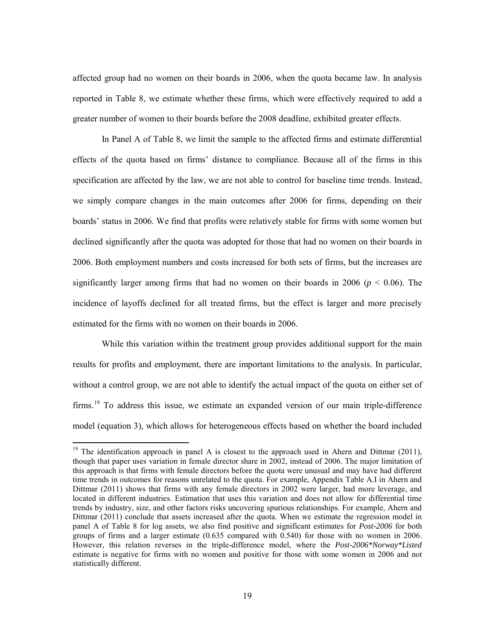affected group had no women on their boards in 2006, when the quota became law. In analysis reported in Table 8, we estimate whether these firms, which were effectively required to add a greater number of women to their boards before the 2008 deadline, exhibited greater effects.

In Panel A of Table 8, we limit the sample to the affected firms and estimate differential effects of the quota based on firms' distance to compliance. Because all of the firms in this specification are affected by the law, we are not able to control for baseline time trends. Instead, we simply compare changes in the main outcomes after 2006 for firms, depending on their boards' status in 2006. We find that profits were relatively stable for firms with some women but declined significantly after the quota was adopted for those that had no women on their boards in 2006. Both employment numbers and costs increased for both sets of firms, but the increases are significantly larger among firms that had no women on their boards in 2006 ( $p < 0.06$ ). The incidence of layoffs declined for all treated firms, but the effect is larger and more precisely estimated for the firms with no women on their boards in 2006.

While this variation within the treatment group provides additional support for the main results for profits and employment, there are important limitations to the analysis. In particular, without a control group, we are not able to identify the actual impact of the quota on either set of firms.<sup>[19](#page-19-0)</sup> To address this issue, we estimate an expanded version of our main triple-difference model (equation 3), which allows for heterogeneous effects based on whether the board included

<span id="page-19-1"></span><span id="page-19-0"></span><sup>&</sup>lt;sup>19</sup> The identification approach in panel A is closest to the approach used in Ahern and Dittmar (2011), though that paper uses variation in female director share in 2002, instead of 2006. The major limitation of this approach is that firms with female directors before the quota were unusual and may have had different time trends in outcomes for reasons unrelated to the quota. For example, Appendix Table A.I in Ahern and Dittmar (2011) shows that firms with any female directors in 2002 were larger, had more leverage, and located in different industries. Estimation that uses this variation and does not allow for differential time trends by industry, size, and other factors risks uncovering spurious relationships. For example, Ahern and Dittmar (2011) conclude that assets increased after the quota. When we estimate the regression model in panel A of Table 8 for log assets, we also find positive and significant estimates for *Post-2006* for both groups of firms and a larger estimate (0.635 compared with 0.540) for those with no women in 2006. However, this relation reverses in the triple-difference model, where the *Post-2006\*Norway\*Listed* estimate is negative for firms with no women and positive for those with some women in 2006 and not statistically different.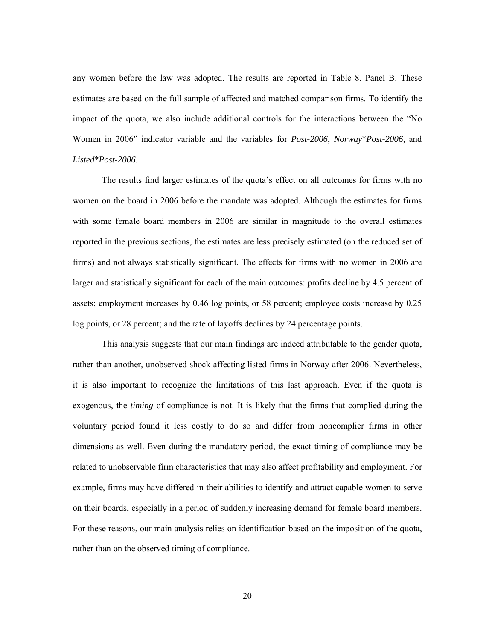any women before the law was adopted. The results are reported in Table 8, Panel B. These estimates are based on the full sample of affected and matched comparison firms. To identify the impact of the quota, we also include additional controls for the interactions between the "No Women in 2006" indicator variable and the variables for *Post-2006*, *Norway*\**Post-2006,* and *Listed*\**Post-2006*.

The results find larger estimates of the quota's effect on all outcomes for firms with no women on the board in 2006 before the mandate was adopted. Although the estimates for firms with some female board members in 2006 are similar in magnitude to the overall estimates reported in the previous sections, the estimates are less precisely estimated (on the reduced set of firms) and not always statistically significant. The effects for firms with no women in 2006 are larger and statistically significant for each of the main outcomes: profits decline by 4.5 percent of assets; employment increases by 0.46 log points, or 58 percent; employee costs increase by 0.25 log points, or 28 percent; and the rate of layoffs declines by 24 percentage points.

This analysis suggests that our main findings are indeed attributable to the gender quota, rather than another, unobserved shock affecting listed firms in Norway after 2006. Nevertheless, it is also important to recognize the limitations of this last approach. Even if the quota is exogenous, the *timing* of compliance is not. It is likely that the firms that complied during the voluntary period found it less costly to do so and differ from noncomplier firms in other dimensions as well. Even during the mandatory period, the exact timing of compliance may be related to unobservable firm characteristics that may also affect profitability and employment. For example, firms may have differed in their abilities to identify and attract capable women to serve on their boards, especially in a period of suddenly increasing demand for female board members. For these reasons, our main analysis relies on identification based on the imposition of the quota, rather than on the observed timing of compliance.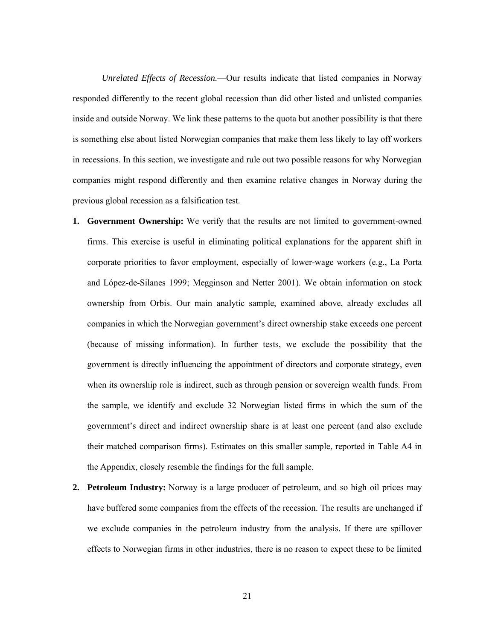*Unrelated Effects of Recession.*—Our results indicate that listed companies in Norway responded differently to the recent global recession than did other listed and unlisted companies inside and outside Norway. We link these patterns to the quota but another possibility is that there is something else about listed Norwegian companies that make them less likely to lay off workers in recessions. In this section, we investigate and rule out two possible reasons for why Norwegian companies might respond differently and then examine relative changes in Norway during the previous global recession as a falsification test.

- **1. Government Ownership:** We verify that the results are not limited to government-owned firms. This exercise is useful in eliminating political explanations for the apparent shift in corporate priorities to favor employment, especially of lower-wage workers (e.g., La Porta and López-de-Silanes 1999; Megginson and Netter 2001). We obtain information on stock ownership from Orbis. Our main analytic sample, examined above, already excludes all companies in which the Norwegian government's direct ownership stake exceeds one percent (because of missing information). In further tests, we exclude the possibility that the government is directly influencing the appointment of directors and corporate strategy, even when its ownership role is indirect, such as through pension or sovereign wealth funds. From the sample, we identify and exclude 32 Norwegian listed firms in which the sum of the government's direct and indirect ownership share is at least one percent (and also exclude their matched comparison firms). Estimates on this smaller sample, reported in Table A4 in the Appendix, closely resemble the findings for the full sample.
- **2. Petroleum Industry:** Norway is a large producer of petroleum, and so high oil prices may have buffered some companies from the effects of the recession. The results are unchanged if we exclude companies in the petroleum industry from the analysis. If there are spillover effects to Norwegian firms in other industries, there is no reason to expect these to be limited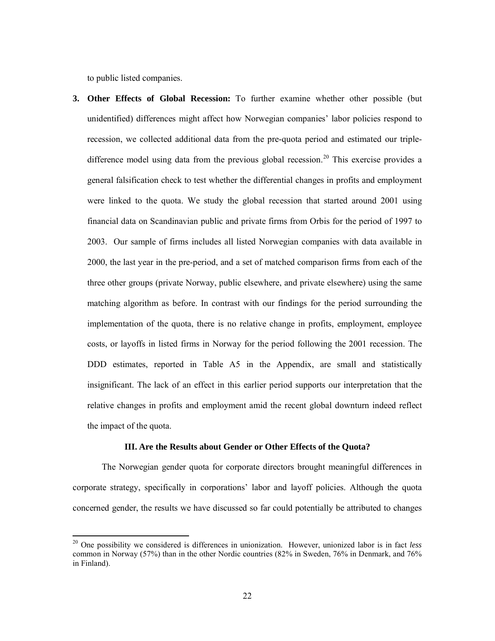to public listed companies.

**3. Other Effects of Global Recession:** To further examine whether other possible (but unidentified) differences might affect how Norwegian companies' labor policies respond to recession, we collected additional data from the pre-quota period and estimated our triple-difference model using data from the previous global recession.<sup>[20](#page-22-0)</sup> This exercise provides a general falsification check to test whether the differential changes in profits and employment were linked to the quota. We study the global recession that started around 2001 using financial data on Scandinavian public and private firms from Orbis for the period of 1997 to 2003. Our sample of firms includes all listed Norwegian companies with data available in 2000, the last year in the pre-period, and a set of matched comparison firms from each of the three other groups (private Norway, public elsewhere, and private elsewhere) using the same matching algorithm as before. In contrast with our findings for the period surrounding the implementation of the quota, there is no relative change in profits, employment, employee costs, or layoffs in listed firms in Norway for the period following the 2001 recession. The DDD estimates, reported in Table A5 in the Appendix, are small and statistically insignificant. The lack of an effect in this earlier period supports our interpretation that the relative changes in profits and employment amid the recent global downturn indeed reflect the impact of the quota.

#### **III. Are the Results about Gender or Other Effects of the Quota?**

The Norwegian gender quota for corporate directors brought meaningful differences in corporate strategy, specifically in corporations' labor and layoff policies. Although the quota concerned gender, the results we have discussed so far could potentially be attributed to changes

<span id="page-22-0"></span><sup>20</sup> One possibility we considered is differences in unionization. However, unionized labor is in fact *less* common in Norway (57%) than in the other Nordic countries (82% in Sweden, 76% in Denmark, and 76% in Finland).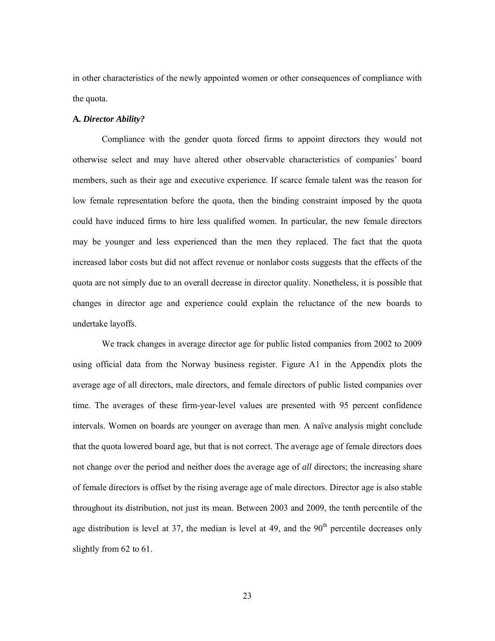in other characteristics of the newly appointed women or other consequences of compliance with the quota.

#### **A***. Director Ability?*

Compliance with the gender quota forced firms to appoint directors they would not otherwise select and may have altered other observable characteristics of companies' board members, such as their age and executive experience. If scarce female talent was the reason for low female representation before the quota, then the binding constraint imposed by the quota could have induced firms to hire less qualified women. In particular, the new female directors may be younger and less experienced than the men they replaced. The fact that the quota increased labor costs but did not affect revenue or nonlabor costs suggests that the effects of the quota are not simply due to an overall decrease in director quality. Nonetheless, it is possible that changes in director age and experience could explain the reluctance of the new boards to undertake layoffs.

We track changes in average director age for public listed companies from 2002 to 2009 using official data from the Norway business register. Figure A1 in the Appendix plots the average age of all directors, male directors, and female directors of public listed companies over time. The averages of these firm-year-level values are presented with 95 percent confidence intervals. Women on boards are younger on average than men. A naïve analysis might conclude that the quota lowered board age, but that is not correct. The average age of female directors does not change over the period and neither does the average age of *all* directors; the increasing share of female directors is offset by the rising average age of male directors. Director age is also stable throughout its distribution, not just its mean. Between 2003 and 2009, the tenth percentile of the age distribution is level at 37, the median is level at 49, and the  $90<sup>th</sup>$  percentile decreases only slightly from 62 to 61.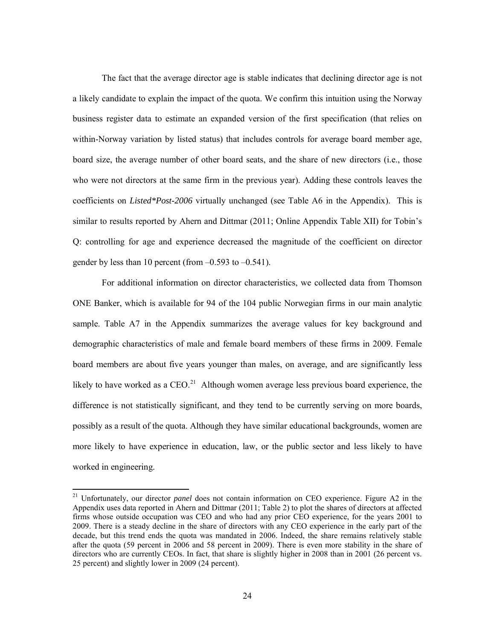The fact that the average director age is stable indicates that declining director age is not a likely candidate to explain the impact of the quota. We confirm this intuition using the Norway business register data to estimate an expanded version of the first specification (that relies on within-Norway variation by listed status) that includes controls for average board member age, board size, the average number of other board seats, and the share of new directors (i.e., those who were not directors at the same firm in the previous year). Adding these controls leaves the coefficients on *Listed\*Post-2006* virtually unchanged (see Table A6 in the Appendix). This is similar to results reported by Ahern and Dittmar (2011; Online Appendix Table XII) for Tobin's Q: controlling for age and experience decreased the magnitude of the coefficient on director gender by less than 10 percent (from  $-0.593$  to  $-0.541$ ).

For additional information on director characteristics, we collected data from Thomson ONE Banker, which is available for 94 of the 104 public Norwegian firms in our main analytic sample. Table A7 in the Appendix summarizes the average values for key background and demographic characteristics of male and female board members of these firms in 2009. Female board members are about five years younger than males, on average, and are significantly less likely to have worked as a  $CEO<sup>21</sup>$  $CEO<sup>21</sup>$  $CEO<sup>21</sup>$  Although women average less previous board experience, the difference is not statistically significant, and they tend to be currently serving on more boards, possibly as a result of the quota. Although they have similar educational backgrounds, women are more likely to have experience in education, law, or the public sector and less likely to have worked in engineering.

<span id="page-24-0"></span><sup>21</sup> Unfortunately, our director *panel* does not contain information on CEO experience. Figure A2 in the Appendix uses data reported in Ahern and Dittmar (2011; Table 2) to plot the shares of directors at affected firms whose outside occupation was CEO and who had any prior CEO experience, for the years 2001 to 2009. There is a steady decline in the share of directors with any CEO experience in the early part of the decade, but this trend ends the quota was mandated in 2006. Indeed, the share remains relatively stable after the quota (59 percent in 2006 and 58 percent in 2009). There is even more stability in the share of directors who are currently CEOs. In fact, that share is slightly higher in 2008 than in 2001 (26 percent vs. 25 percent) and slightly lower in 2009 (24 percent).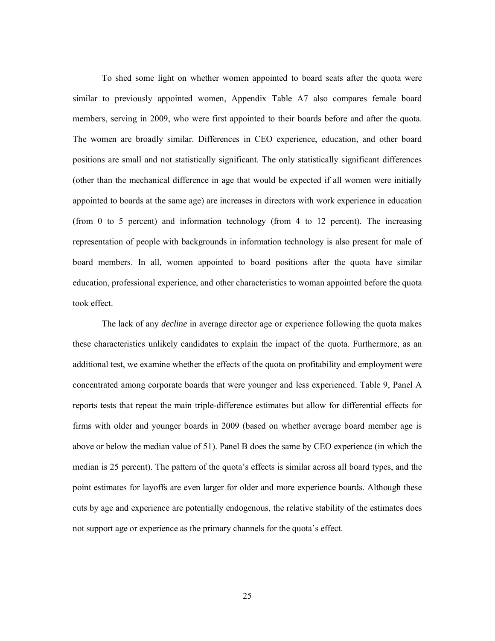To shed some light on whether women appointed to board seats after the quota were similar to previously appointed women, Appendix Table A7 also compares female board members, serving in 2009, who were first appointed to their boards before and after the quota. The women are broadly similar. Differences in CEO experience, education, and other board positions are small and not statistically significant. The only statistically significant differences (other than the mechanical difference in age that would be expected if all women were initially appointed to boards at the same age) are increases in directors with work experience in education (from 0 to 5 percent) and information technology (from 4 to 12 percent). The increasing representation of people with backgrounds in information technology is also present for male of board members. In all, women appointed to board positions after the quota have similar education, professional experience, and other characteristics to woman appointed before the quota took effect.

The lack of any *decline* in average director age or experience following the quota makes these characteristics unlikely candidates to explain the impact of the quota. Furthermore, as an additional test, we examine whether the effects of the quota on profitability and employment were concentrated among corporate boards that were younger and less experienced. Table 9, Panel A reports tests that repeat the main triple-difference estimates but allow for differential effects for firms with older and younger boards in 2009 (based on whether average board member age is above or below the median value of 51). Panel B does the same by CEO experience (in which the median is 25 percent). The pattern of the quota's effects is similar across all board types, and the point estimates for layoffs are even larger for older and more experience boards. Although these cuts by age and experience are potentially endogenous, the relative stability of the estimates does not support age or experience as the primary channels for the quota's effect.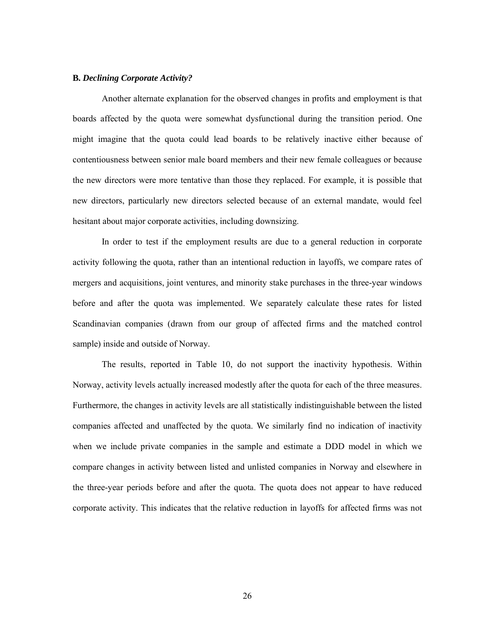#### **B***. Declining Corporate Activity?*

Another alternate explanation for the observed changes in profits and employment is that boards affected by the quota were somewhat dysfunctional during the transition period. One might imagine that the quota could lead boards to be relatively inactive either because of contentiousness between senior male board members and their new female colleagues or because the new directors were more tentative than those they replaced. For example, it is possible that new directors, particularly new directors selected because of an external mandate, would feel hesitant about major corporate activities, including downsizing.

In order to test if the employment results are due to a general reduction in corporate activity following the quota, rather than an intentional reduction in layoffs, we compare rates of mergers and acquisitions, joint ventures, and minority stake purchases in the three-year windows before and after the quota was implemented. We separately calculate these rates for listed Scandinavian companies (drawn from our group of affected firms and the matched control sample) inside and outside of Norway.

The results, reported in Table 10, do not support the inactivity hypothesis. Within Norway, activity levels actually increased modestly after the quota for each of the three measures. Furthermore, the changes in activity levels are all statistically indistinguishable between the listed companies affected and unaffected by the quota. We similarly find no indication of inactivity when we include private companies in the sample and estimate a DDD model in which we compare changes in activity between listed and unlisted companies in Norway and elsewhere in the three-year periods before and after the quota. The quota does not appear to have reduced corporate activity. This indicates that the relative reduction in layoffs for affected firms was not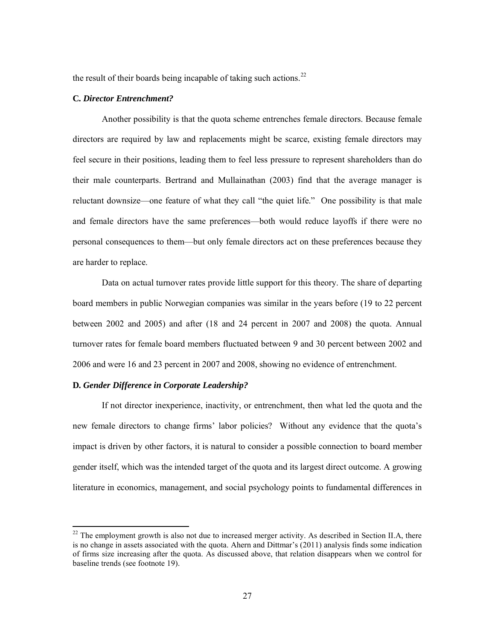the result of their boards being incapable of taking such actions.<sup>[22](#page-27-0)</sup>

## **C***. Director Entrenchment?*

Another possibility is that the quota scheme entrenches female directors. Because female directors are required by law and replacements might be scarce, existing female directors may feel secure in their positions, leading them to feel less pressure to represent shareholders than do their male counterparts. Bertrand and Mullainathan (2003) find that the average manager is reluctant downsize—one feature of what they call "the quiet life." One possibility is that male and female directors have the same preferences—both would reduce layoffs if there were no personal consequences to them—but only female directors act on these preferences because they are harder to replace.

Data on actual turnover rates provide little support for this theory. The share of departing board members in public Norwegian companies was similar in the years before (19 to 22 percent between 2002 and 2005) and after (18 and 24 percent in 2007 and 2008) the quota. Annual turnover rates for female board members fluctuated between 9 and 30 percent between 2002 and 2006 and were 16 and 23 percent in 2007 and 2008, showing no evidence of entrenchment.

# **D***. Gender Difference in Corporate Leadership?*

If not director inexperience, inactivity, or entrenchment, then what led the quota and the new female directors to change firms' labor policies? Without any evidence that the quota's impact is driven by other factors, it is natural to consider a possible connection to board member gender itself, which was the intended target of the quota and its largest direct outcome. A growing literature in economics, management, and social psychology points to fundamental differences in

<span id="page-27-0"></span> $22$  The employment growth is also not due to increased merger activity. As described in Section II.A, there is no change in assets associated with the quota. Ahern and Dittmar's (2011) analysis finds some indication of firms size increasing after the quota. As discussed above, that relation disappears when we control for baseline trends (see footnote [19\)](#page-19-1).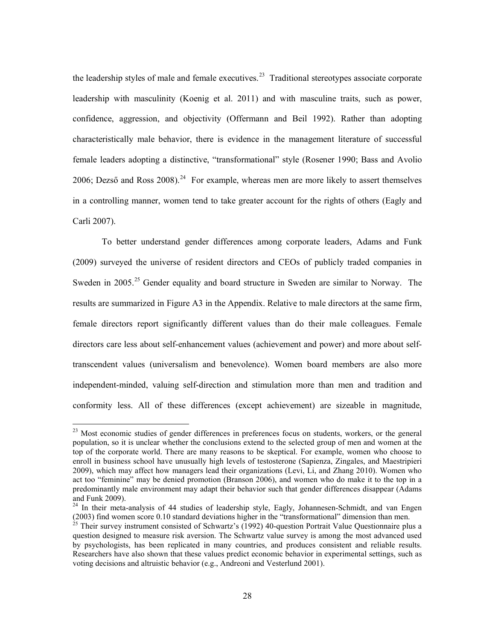the leadership styles of male and female executives.<sup>23</sup> Traditional stereotypes associate corporate leadership with masculinity (Koenig et al. 2011) and with masculine traits, such as power, confidence, aggression, and objectivity (Offermann and Beil 1992). Rather than adopting characteristically male behavior, there is evidence in the management literature of successful female leaders adopting a distinctive, "transformational" style (Rosener 1990; Bass and Avolio 2006; Dezső and Ross  $2008$ ).<sup>[24](#page-28-1)</sup> For example, whereas men are more likely to assert themselves in a controlling manner, women tend to take greater account for the rights of others (Eagly and Carli 2007).

To better understand gender differences among corporate leaders, Adams and Funk (2009) surveyed the universe of resident directors and CEOs of publicly traded companies in Sweden in 2005.<sup>[25](#page-28-2)</sup> Gender equality and board structure in Sweden are similar to Norway. The results are summarized in Figure A3 in the Appendix. Relative to male directors at the same firm, female directors report significantly different values than do their male colleagues. Female directors care less about self-enhancement values (achievement and power) and more about selftranscendent values (universalism and benevolence). Women board members are also more independent-minded, valuing self-direction and stimulation more than men and tradition and conformity less. All of these differences (except achievement) are sizeable in magnitude,

<span id="page-28-0"></span><sup>&</sup>lt;sup>23</sup> Most economic studies of gender differences in preferences focus on students, workers, or the general population, so it is unclear whether the conclusions extend to the selected group of men and women at the top of the corporate world. There are many reasons to be skeptical. For example, women who choose to enroll in business school have unusually high levels of testosterone (Sapienza, Zingales, and Maestripieri 2009), which may affect how managers lead their organizations (Levi, Li, and Zhang 2010). Women who act too "feminine" may be denied promotion (Branson 2006), and women who do make it to the top in a predominantly male environment may adapt their behavior such that gender differences disappear (Adams and Funk 2009).

<span id="page-28-1"></span><sup>&</sup>lt;sup>24</sup> In their meta-analysis of 44 studies of leadership style, Eagly, Johannesen-Schmidt, and van Engen (2003) find women score 0.10 standard deviations higher in the "transformational" dimension than men. <sup>25</sup> Their survey instrument consisted of Schwartz's (1992) 40-question Portrait Value Questionnaire plus a

<span id="page-28-2"></span>question designed to measure risk aversion. The Schwartz value survey is among the most advanced used by psychologists, has been replicated in many countries, and produces consistent and reliable results. Researchers have also shown that these values predict economic behavior in experimental settings, such as voting decisions and altruistic behavior (e.g., Andreoni and Vesterlund 2001).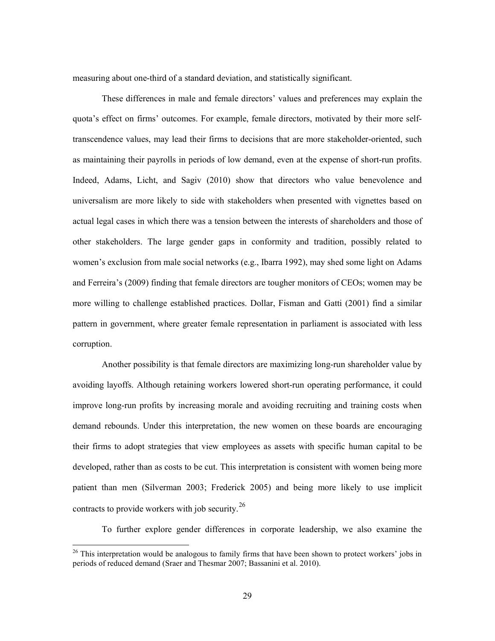measuring about one-third of a standard deviation, and statistically significant.

These differences in male and female directors' values and preferences may explain the quota's effect on firms' outcomes. For example, female directors, motivated by their more selftranscendence values, may lead their firms to decisions that are more stakeholder-oriented, such as maintaining their payrolls in periods of low demand, even at the expense of short-run profits. Indeed, Adams, Licht, and Sagiv (2010) show that directors who value benevolence and universalism are more likely to side with stakeholders when presented with vignettes based on actual legal cases in which there was a tension between the interests of shareholders and those of other stakeholders. The large gender gaps in conformity and tradition, possibly related to women's exclusion from male social networks (e.g., Ibarra 1992), may shed some light on Adams and Ferreira's (2009) finding that female directors are tougher monitors of CEOs; women may be more willing to challenge established practices. Dollar, Fisman and Gatti (2001) find a similar pattern in government, where greater female representation in parliament is associated with less corruption.

Another possibility is that female directors are maximizing long-run shareholder value by avoiding layoffs. Although retaining workers lowered short-run operating performance, it could improve long-run profits by increasing morale and avoiding recruiting and training costs when demand rebounds. Under this interpretation, the new women on these boards are encouraging their firms to adopt strategies that view employees as assets with specific human capital to be developed, rather than as costs to be cut. This interpretation is consistent with women being more patient than men (Silverman 2003; Frederick 2005) and being more likely to use implicit contracts to provide workers with job security.<sup>[26](#page-29-0)</sup>

To further explore gender differences in corporate leadership, we also examine the

<span id="page-29-0"></span> $26$  This interpretation would be analogous to family firms that have been shown to protect workers' jobs in periods of reduced demand (Sraer and Thesmar 2007; Bassanini et al. 2010).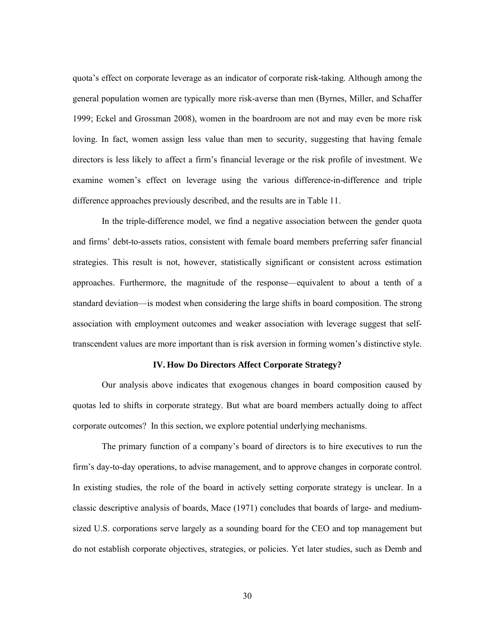quota's effect on corporate leverage as an indicator of corporate risk-taking. Although among the general population women are typically more risk-averse than men (Byrnes, Miller, and Schaffer 1999; Eckel and Grossman 2008), women in the boardroom are not and may even be more risk loving. In fact, women assign less value than men to security, suggesting that having female directors is less likely to affect a firm's financial leverage or the risk profile of investment. We examine women's effect on leverage using the various difference-in-difference and triple difference approaches previously described, and the results are in Table 11.

In the triple-difference model, we find a negative association between the gender quota and firms' debt-to-assets ratios, consistent with female board members preferring safer financial strategies. This result is not, however, statistically significant or consistent across estimation approaches. Furthermore, the magnitude of the response—equivalent to about a tenth of a standard deviation—is modest when considering the large shifts in board composition. The strong association with employment outcomes and weaker association with leverage suggest that selftranscendent values are more important than is risk aversion in forming women's distinctive style.

## **IV. How Do Directors Affect Corporate Strategy?**

Our analysis above indicates that exogenous changes in board composition caused by quotas led to shifts in corporate strategy. But what are board members actually doing to affect corporate outcomes? In this section, we explore potential underlying mechanisms.

The primary function of a company's board of directors is to hire executives to run the firm's day-to-day operations, to advise management, and to approve changes in corporate control. In existing studies, the role of the board in actively setting corporate strategy is unclear. In a classic descriptive analysis of boards, Mace (1971) concludes that boards of large- and mediumsized U.S. corporations serve largely as a sounding board for the CEO and top management but do not establish corporate objectives, strategies, or policies. Yet later studies, such as Demb and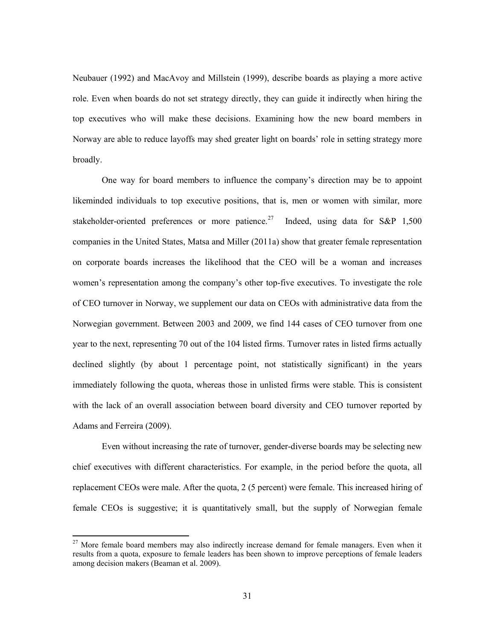Neubauer (1992) and MacAvoy and Millstein (1999), describe boards as playing a more active role. Even when boards do not set strategy directly, they can guide it indirectly when hiring the top executives who will make these decisions. Examining how the new board members in Norway are able to reduce layoffs may shed greater light on boards' role in setting strategy more broadly.

One way for board members to influence the company's direction may be to appoint likeminded individuals to top executive positions, that is, men or women with similar, more stakeholder-oriented preferences or more patience.<sup>[27](#page-31-0)</sup> Indeed, using data for S&P 1,500 companies in the United States, Matsa and Miller (2011a) show that greater female representation on corporate boards increases the likelihood that the CEO will be a woman and increases women's representation among the company's other top-five executives. To investigate the role of CEO turnover in Norway, we supplement our data on CEOs with administrative data from the Norwegian government. Between 2003 and 2009, we find 144 cases of CEO turnover from one year to the next, representing 70 out of the 104 listed firms. Turnover rates in listed firms actually declined slightly (by about 1 percentage point, not statistically significant) in the years immediately following the quota, whereas those in unlisted firms were stable. This is consistent with the lack of an overall association between board diversity and CEO turnover reported by Adams and Ferreira (2009).

Even without increasing the rate of turnover, gender-diverse boards may be selecting new chief executives with different characteristics. For example, in the period before the quota, all replacement CEOs were male. After the quota, 2 (5 percent) were female. This increased hiring of female CEOs is suggestive; it is quantitatively small, but the supply of Norwegian female

<span id="page-31-0"></span><sup>&</sup>lt;sup>27</sup> More female board members may also indirectly increase demand for female managers. Even when it results from a quota, exposure to female leaders has been shown to improve perceptions of female leaders among decision makers (Beaman et al. 2009).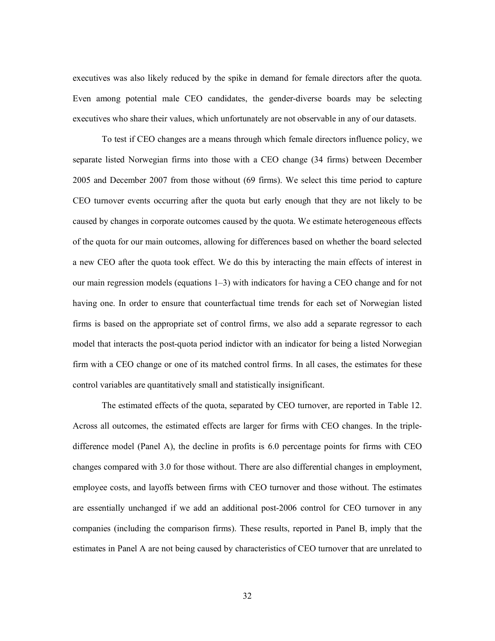executives was also likely reduced by the spike in demand for female directors after the quota. Even among potential male CEO candidates, the gender-diverse boards may be selecting executives who share their values, which unfortunately are not observable in any of our datasets.

To test if CEO changes are a means through which female directors influence policy, we separate listed Norwegian firms into those with a CEO change (34 firms) between December 2005 and December 2007 from those without (69 firms). We select this time period to capture CEO turnover events occurring after the quota but early enough that they are not likely to be caused by changes in corporate outcomes caused by the quota. We estimate heterogeneous effects of the quota for our main outcomes, allowing for differences based on whether the board selected a new CEO after the quota took effect. We do this by interacting the main effects of interest in our main regression models (equations 1–3) with indicators for having a CEO change and for not having one. In order to ensure that counterfactual time trends for each set of Norwegian listed firms is based on the appropriate set of control firms, we also add a separate regressor to each model that interacts the post-quota period indictor with an indicator for being a listed Norwegian firm with a CEO change or one of its matched control firms. In all cases, the estimates for these control variables are quantitatively small and statistically insignificant.

The estimated effects of the quota, separated by CEO turnover, are reported in Table 12. Across all outcomes, the estimated effects are larger for firms with CEO changes. In the tripledifference model (Panel A), the decline in profits is 6.0 percentage points for firms with CEO changes compared with 3.0 for those without. There are also differential changes in employment, employee costs, and layoffs between firms with CEO turnover and those without. The estimates are essentially unchanged if we add an additional post-2006 control for CEO turnover in any companies (including the comparison firms). These results, reported in Panel B, imply that the estimates in Panel A are not being caused by characteristics of CEO turnover that are unrelated to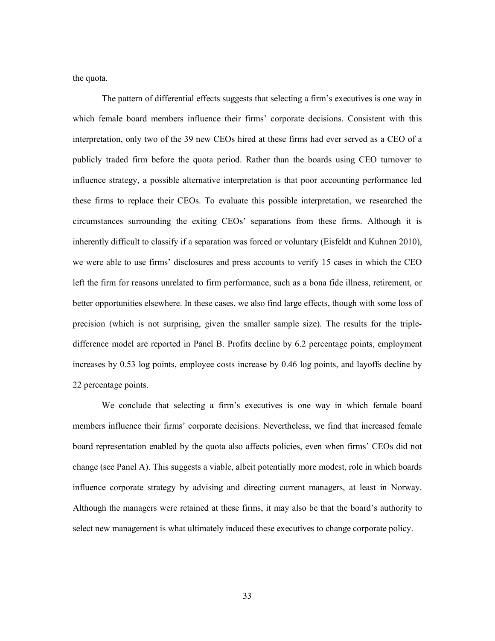the quota.

The pattern of differential effects suggests that selecting a firm's executives is one way in which female board members influence their firms' corporate decisions. Consistent with this interpretation, only two of the 39 new CEOs hired at these firms had ever served as a CEO of a publicly traded firm before the quota period. Rather than the boards using CEO turnover to influence strategy, a possible alternative interpretation is that poor accounting performance led these firms to replace their CEOs. To evaluate this possible interpretation, we researched the circumstances surrounding the exiting CEOs' separations from these firms. Although it is inherently difficult to classify if a separation was forced or voluntary (Eisfeldt and Kuhnen 2010), we were able to use firms' disclosures and press accounts to verify 15 cases in which the CEO left the firm for reasons unrelated to firm performance, such as a bona fide illness, retirement, or better opportunities elsewhere. In these cases, we also find large effects, though with some loss of precision (which is not surprising, given the smaller sample size). The results for the tripledifference model are reported in Panel B. Profits decline by 6.2 percentage points, employment increases by 0.53 log points, employee costs increase by 0.46 log points, and layoffs decline by 22 percentage points.

We conclude that selecting a firm's executives is one way in which female board members influence their firms' corporate decisions. Nevertheless, we find that increased female board representation enabled by the quota also affects policies, even when firms' CEOs did not change (see Panel A). This suggests a viable, albeit potentially more modest, role in which boards influence corporate strategy by advising and directing current managers, at least in Norway. Although the managers were retained at these firms, it may also be that the board's authority to select new management is what ultimately induced these executives to change corporate policy.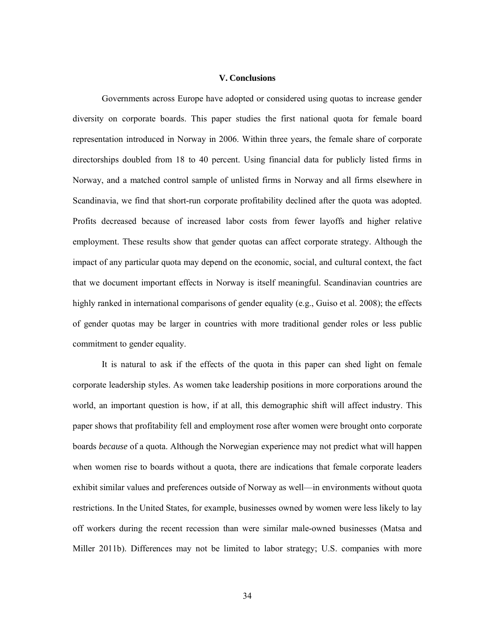#### **V. Conclusions**

Governments across Europe have adopted or considered using quotas to increase gender diversity on corporate boards. This paper studies the first national quota for female board representation introduced in Norway in 2006. Within three years, the female share of corporate directorships doubled from 18 to 40 percent. Using financial data for publicly listed firms in Norway, and a matched control sample of unlisted firms in Norway and all firms elsewhere in Scandinavia, we find that short-run corporate profitability declined after the quota was adopted. Profits decreased because of increased labor costs from fewer layoffs and higher relative employment. These results show that gender quotas can affect corporate strategy. Although the impact of any particular quota may depend on the economic, social, and cultural context, the fact that we document important effects in Norway is itself meaningful. Scandinavian countries are highly ranked in international comparisons of gender equality (e.g., Guiso et al. 2008); the effects of gender quotas may be larger in countries with more traditional gender roles or less public commitment to gender equality.

It is natural to ask if the effects of the quota in this paper can shed light on female corporate leadership styles. As women take leadership positions in more corporations around the world, an important question is how, if at all, this demographic shift will affect industry. This paper shows that profitability fell and employment rose after women were brought onto corporate boards *because* of a quota. Although the Norwegian experience may not predict what will happen when women rise to boards without a quota, there are indications that female corporate leaders exhibit similar values and preferences outside of Norway as well—in environments without quota restrictions. In the United States, for example, businesses owned by women were less likely to lay off workers during the recent recession than were similar male-owned businesses (Matsa and Miller 2011b). Differences may not be limited to labor strategy; U.S. companies with more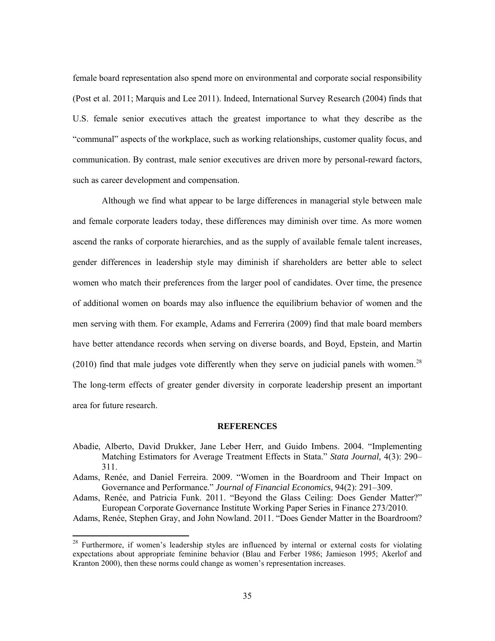female board representation also spend more on environmental and corporate social responsibility (Post et al. 2011; Marquis and Lee 2011). Indeed, International Survey Research (2004) finds that U.S. female senior executives attach the greatest importance to what they describe as the "communal" aspects of the workplace, such as working relationships, customer quality focus, and communication. By contrast, male senior executives are driven more by personal-reward factors, such as career development and compensation.

Although we find what appear to be large differences in managerial style between male and female corporate leaders today, these differences may diminish over time. As more women ascend the ranks of corporate hierarchies, and as the supply of available female talent increases, gender differences in leadership style may diminish if shareholders are better able to select women who match their preferences from the larger pool of candidates. Over time, the presence of additional women on boards may also influence the equilibrium behavior of women and the men serving with them. For example, Adams and Ferrerira (2009) find that male board members have better attendance records when serving on diverse boards, and Boyd, Epstein, and Martin (2010) find that male judges vote differently when they serve on judicial panels with women.<sup>[28](#page-35-0)</sup> The long-term effects of greater gender diversity in corporate leadership present an important area for future research.

#### **REFERENCES**

- Abadie, Alberto, David Drukker, Jane Leber Herr, and Guido Imbens. 2004. "Implementing Matching Estimators for Average Treatment Effects in Stata." *Stata Journal,* 4(3): 290– 311.
- Adams, Renée, and Daniel Ferreira. 2009. "Women in the Boardroom and Their Impact on Governance and Performance." *Journal of Financial Economics,* 94(2): 291–309.
- Adams, Renée, and Patricia Funk. 2011. "Beyond the Glass Ceiling: Does Gender Matter?" European Corporate Governance Institute Working Paper Series in Finance 273/2010.

Adams, Renée, Stephen Gray, and John Nowland. 2011. "Does Gender Matter in the Boardroom?

<span id="page-35-0"></span><sup>&</sup>lt;sup>28</sup> Furthermore, if women's leadership styles are influenced by internal or external costs for violating expectations about appropriate feminine behavior (Blau and Ferber 1986; Jamieson 1995; Akerlof and Kranton 2000), then these norms could change as women's representation increases.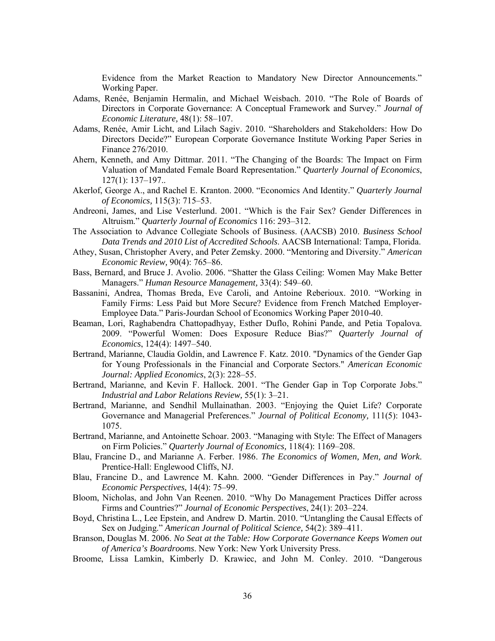Evidence from the Market Reaction to Mandatory New Director Announcements." Working Paper.

- Adams, Renée, Benjamin Hermalin, and Michael Weisbach. 2010. "The Role of Boards of Directors in Corporate Governance: A Conceptual Framework and Survey." *Journal of Economic Literature,* 48(1): 58–107.
- Adams, Renée, Amir Licht, and Lilach Sagiv. 2010. "Shareholders and Stakeholders: How Do Directors Decide?" European Corporate Governance Institute Working Paper Series in Finance 276/2010.
- Ahern, Kenneth, and Amy Dittmar. 2011. "The Changing of the Boards: The Impact on Firm Valuation of Mandated Female Board Representation." *Quarterly Journal of Economics*, 127(1): 137–197..
- Akerlof, George A., and Rachel E. Kranton. 2000. "Economics And Identity." *Quarterly Journal of Economics,* 115(3): 715–53.
- Andreoni, James, and Lise Vesterlund. 2001. "Which is the Fair Sex? Gender Differences in Altruism." *Quarterly Journal of Economics* 116: 293–312.
- The Association to Advance Collegiate Schools of Business. (AACSB) 2010. *Business School Data Trends and 2010 List of Accredited Schools*. AACSB International: Tampa, Florida.
- Athey, Susan, Christopher Avery, and Peter Zemsky. 2000. "Mentoring and Diversity." *American Economic Review,* 90(4): 765–86.
- Bass, Bernard, and Bruce J. Avolio. 2006. "Shatter the Glass Ceiling: Women May Make Better Managers." *Human Resource Management,* 33(4): 549–60.
- Bassanini, Andrea, Thomas Breda, Eve Caroli, and Antoine Reberioux. 2010. "Working in Family Firms: Less Paid but More Secure? Evidence from French Matched Employer-Employee Data." Paris-Jourdan School of Economics Working Paper 2010-40.
- Beaman, Lori, Raghabendra Chattopadhyay, Esther Duflo, Rohini Pande, and Petia Topalova. 2009. "Powerful Women: Does Exposure Reduce Bias?" *Quarterly Journal of Economics*, 124(4): 1497–540.
- Bertrand, Marianne, Claudia Goldin, and Lawrence F. Katz. 2010. "Dynamics of the Gender Gap for Young Professionals in the Financial and Corporate Sectors." *American Economic Journal: Applied Economics*, 2(3): 228–55.
- Bertrand, Marianne, and Kevin F. Hallock. 2001. "The Gender Gap in Top Corporate Jobs." *Industrial and Labor Relations Review,* 55(1): 3–21.
- Bertrand, Marianne, and Sendhil Mullainathan. 2003. "Enjoying the Quiet Life? Corporate Governance and Managerial Preferences." *Journal of Political Economy,* 111(5): 1043- 1075.
- Bertrand, Marianne, and Antoinette Schoar. 2003. "Managing with Style: The Effect of Managers on Firm Policies." *Quarterly Journal of Economics,* 118(4): 1169–208.
- Blau, Francine D., and Marianne A. Ferber. 1986. *The Economics of Women, Men, and Work*. Prentice-Hall: Englewood Cliffs, NJ.
- Blau, Francine D., and Lawrence M. Kahn. 2000. "Gender Differences in Pay." *Journal of Economic Perspectives,* 14(4): 75–99.
- Bloom, Nicholas, and John Van Reenen. 2010. "Why Do Management Practices Differ across Firms and Countries?" *Journal of Economic Perspectives*, 24(1): 203–224.
- Boyd, Christina L., Lee Epstein, and Andrew D. Martin. 2010. "Untangling the Causal Effects of Sex on Judging." *American Journal of Political Science,* 54(2): 389–411.
- Branson, Douglas M. 2006. *No Seat at the Table: How Corporate Governance Keeps Women out of America's Boardrooms*. New York: New York University Press.
- Broome, Lissa Lamkin, Kimberly D. Krawiec, and John M. Conley. 2010. "Dangerous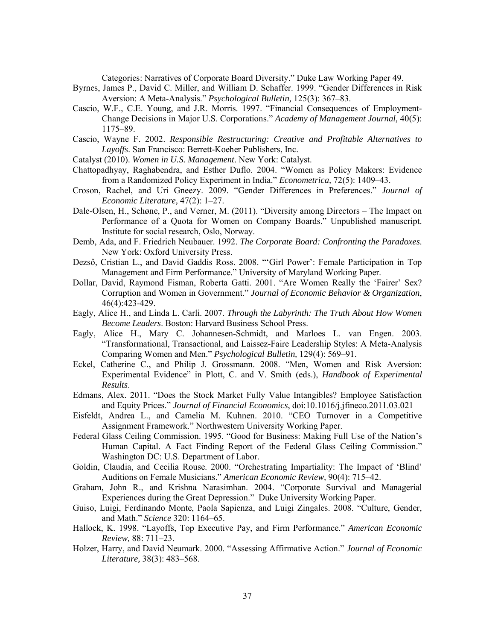Categories: Narratives of Corporate Board Diversity." Duke Law Working Paper 49.

- Byrnes, James P., David C. Miller, and William D. Schaffer. 1999. "Gender Differences in Risk Aversion: A Meta-Analysis." *Psychological Bulletin,* 125(3): 367–83.
- Cascio, W.F., C.E. Young, and J.R. Morris. 1997. "Financial Consequences of Employment-Change Decisions in Major U.S. Corporations." *Academy of Management Journal,* 40(5): 1175–89.
- Cascio, Wayne F. 2002. *Responsible Restructuring: Creative and Profitable Alternatives to Layoffs*. San Francisco: Berrett-Koeher Publishers, Inc.
- Catalyst (2010). *Women in U.S. Management*. New York: Catalyst.
- Chattopadhyay, Raghabendra, and Esther Duflo. 2004. "Women as Policy Makers: Evidence from a Randomized Policy Experiment in India." *Econometrica,* 72(5): 1409–43.
- Croson, Rachel, and Uri Gneezy. 2009. "Gender Differences in Preferences." *Journal of Economic Literature,* 47(2): 1–27.
- Dale-Olsen, H., Schøne, P., and Verner, M. (2011). "Diversity among Directors The Impact on Performance of a Quota for Women on Company Boards." Unpublished manuscript. Institute for social research, Oslo, Norway.
- Demb, Ada, and F. Friedrich Neubauer. 1992. *The Corporate Board: Confronting the Paradoxes*. New York: Oxford University Press.
- Dezső, Cristian L., and David Gaddis Ross. 2008. "'Girl Power': Female Participation in Top Management and Firm Performance." University of Maryland Working Paper.
- Dollar, David, Raymond Fisman, Roberta Gatti. 2001. "Are Women Really the 'Fairer' Sex? Corruption and Women in Government." *Journal of Economic Behavior & Organization*, 46(4):423-429.
- Eagly, Alice H., and Linda L. Carli. 2007. *Through the Labyrinth: The Truth About How Women Become Leaders*. Boston: Harvard Business School Press.
- Eagly, Alice H., Mary C. Johannesen-Schmidt, and Marloes L. van Engen. 2003. "Transformational, Transactional, and Laissez-Faire Leadership Styles: A Meta-Analysis Comparing Women and Men." *Psychological Bulletin,* 129(4): 569–91.
- Eckel, Catherine C., and Philip J. Grossmann. 2008. "Men, Women and Risk Aversion: Experimental Evidence" in Plott, C. and V. Smith (eds.), *Handbook of Experimental Results*.
- Edmans, Alex. 2011. "Does the Stock Market Fully Value Intangibles? Employee Satisfaction and Equity Prices." *Journal of Financial Economics*, doi:10.1016/j.jfineco.2011.03.021
- Eisfeldt, Andrea L., and Camelia M. Kuhnen. 2010. "CEO Turnover in a Competitive Assignment Framework." Northwestern University Working Paper.
- Federal Glass Ceiling Commission. 1995. "Good for Business: Making Full Use of the Nation's Human Capital. A Fact Finding Report of the Federal Glass Ceiling Commission." Washington DC: U.S. Department of Labor.
- Goldin, Claudia, and Cecilia Rouse. 2000. "Orchestrating Impartiality: The Impact of 'Blind' Auditions on Female Musicians." *American Economic Review,* 90(4): 715–42.
- Graham, John R., and Krishna Narasimhan. 2004. "Corporate Survival and Managerial Experiences during the Great Depression." Duke University Working Paper.
- Guiso, Luigi, Ferdinando Monte, Paola Sapienza, and Luigi Zingales. 2008. "Culture, Gender, and Math." *Science* 320: 1164–65.
- Hallock, K. 1998. "Layoffs, Top Executive Pay, and Firm Performance." *American Economic Review,* 88: 711–23.
- Holzer, Harry, and David Neumark. 2000. "Assessing Affirmative Action." *Journal of Economic Literature,* 38(3): 483–568.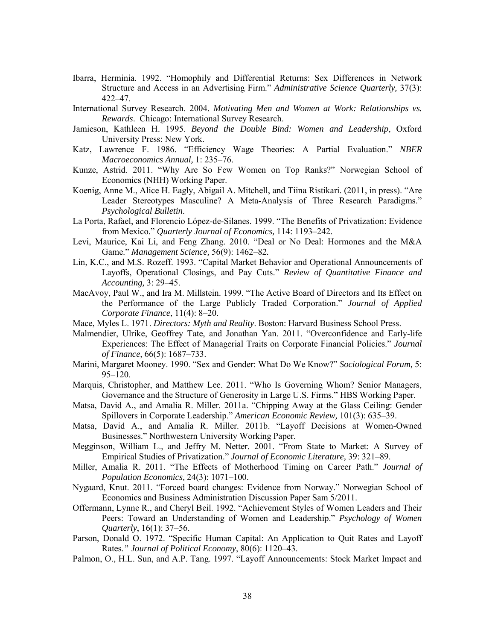- Ibarra, Herminia. 1992. "Homophily and Differential Returns: Sex Differences in Network Structure and Access in an Advertising Firm." *Administrative Science Quarterly,* 37(3): 422–47.
- International Survey Research. 2004. *Motivating Men and Women at Work: Relationships vs. Rewards*. Chicago: International Survey Research.
- Jamieson, Kathleen H. 1995. *Beyond the Double Bind: Women and Leadership*, Oxford University Press: New York.
- Katz, Lawrence F. 1986. "Efficiency Wage Theories: A Partial Evaluation." *NBER Macroeconomics Annual,* 1: 235–76.
- Kunze, Astrid. 2011. "Why Are So Few Women on Top Ranks?" Norwegian School of Economics (NHH) Working Paper.
- Koenig, Anne M., Alice H. Eagly, Abigail A. Mitchell, and Tiina Ristikari. (2011, in press). "Are Leader Stereotypes Masculine? A Meta-Analysis of Three Research Paradigms." *Psychological Bulletin*.
- La Porta, Rafael, and Florencio López-de-Silanes. 1999. "The Benefits of Privatization: Evidence from Mexico." *Quarterly Journal of Economics,* 114: 1193–242.
- Levi, Maurice, Kai Li, and Feng Zhang. 2010. "Deal or No Deal: Hormones and the M&A Game." *Management Science,* 56(9): 1462–82*.*
- Lin, K.C., and M.S. Rozeff. 1993. "Capital Market Behavior and Operational Announcements of Layoffs, Operational Closings, and Pay Cuts." *Review of Quantitative Finance and Accounting,* 3: 29–45.
- MacAvoy, Paul W., and Ira M. Millstein. 1999. "The Active Board of Directors and Its Effect on the Performance of the Large Publicly Traded Corporation." *Journal of Applied Corporate Finance*, 11(4): 8–20.
- Mace, Myles L. 1971. *Directors: Myth and Reality*. Boston: Harvard Business School Press.
- Malmendier, Ulrike, Geoffrey Tate, and Jonathan Yan. 2011. "Overconfidence and Early-life Experiences: The Effect of Managerial Traits on Corporate Financial Policies." *Journal of Finance*, 66(5): 1687–733.
- Marini, Margaret Mooney. 1990. "Sex and Gender: What Do We Know?" *Sociological Forum,* 5: 95–120.
- Marquis, Christopher, and Matthew Lee. 2011. "Who Is Governing Whom? Senior Managers, Governance and the Structure of Generosity in Large U.S. Firms." HBS Working Paper.
- Matsa, David A., and Amalia R. Miller. 2011a. "Chipping Away at the Glass Ceiling: Gender Spillovers in Corporate Leadership." *American Economic Review,* 101(3): 635–39.
- Matsa, David A., and Amalia R. Miller. 2011b. "Layoff Decisions at Women-Owned Businesses." Northwestern University Working Paper.
- Megginson, William L., and Jeffry M. Netter. 2001. "From State to Market: A Survey of Empirical Studies of Privatization." *Journal of Economic Literature,* 39: 321–89.
- Miller, Amalia R. 2011. "The Effects of Motherhood Timing on Career Path." *Journal of Population Economics,* 24(3): 1071–100.
- Nygaard, Knut. 2011. "Forced board changes: Evidence from Norway." Norwegian School of Economics and Business Administration Discussion Paper Sam 5/2011.
- Offermann, Lynne R., and Cheryl Beil. 1992. "Achievement Styles of Women Leaders and Their Peers: Toward an Understanding of Women and Leadership." *Psychology of Women Quarterly*, 16(1): 37–56.
- Parson, Donald O. 1972. "Specific Human Capital: An Application to Quit Rates and Layoff Rates*." Journal of Political Economy*, 80(6): 1120–43.
- Palmon, O., H.L. Sun, and A.P. Tang. 1997. "Layoff Announcements: Stock Market Impact and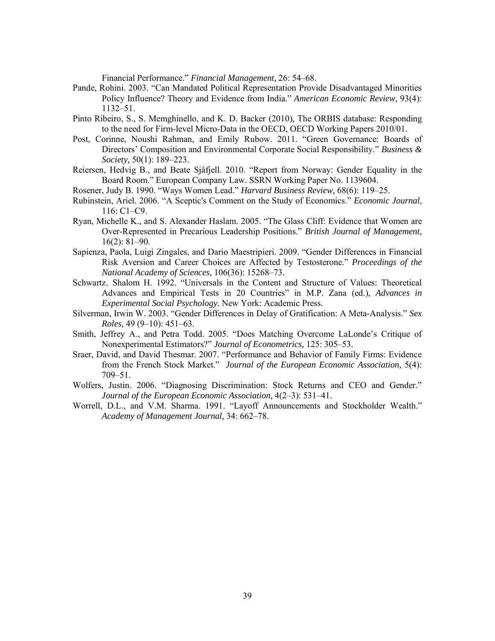Financial Performance." *Financial Management,* 26: 54–68.

- Pande, Rohini. 2003. "Can Mandated Political Representation Provide Disadvantaged Minorities Policy Influence? Theory and Evidence from India." *American Economic Review,* 93(4): 1132–51.
- Pinto Ribeiro, S., S. Memghinello, and K. D. Backer (2010), The ORBIS database: Responding to the need for Firm-level Micro-Data in the OECD, OECD Working Papers 2010/01.
- Post, Corinne, Noushi Rahman, and Emily Rubow. 2011. "Green Governance: Boards of Directors' Composition and Environmental Corporate Social Responsibility." *Business & Society,* 50(1): 189–223.
- Reiersen, Hedvig B., and Beate Sjåfjell. 2010. "Report from Norway: Gender Equality in the Board Room." European Company Law. SSRN Working Paper No. 1139604.
- Rosener, Judy B. 1990. "Ways Women Lead." *Harvard Business Review,* 68(6): 119–25.
- Rubinstein, Ariel. 2006. "A Sceptic's Comment on the Study of Economics." *Economic Journal*, 116: C1–C9.
- Ryan, Michelle K., and S. Alexander Haslam. 2005. "The Glass Cliff: Evidence that Women are Over-Represented in Precarious Leadership Positions." *British Journal of Management,* 16(2): 81–90.
- Sapienza, Paola, Luigi Zingales, and Dario Maestripieri. 2009. "Gender Differences in Financial Risk Aversion and Career Choices are Affected by Testosterone." *Proceedings of the National Academy of Sciences,* 106(36): 15268–73.
- Schwartz, Shalom H. 1992. "Universals in the Content and Structure of Values: Theoretical Advances and Empirical Tests in 20 Countries" in M.P. Zana (ed.), *Advances in Experimental Social Psychology*. New York: Academic Press.
- Silverman, Irwin W. 2003. "Gender Differences in Delay of Gratification: A Meta-Analysis." *Sex Roles,* 49 (9–10): 451–63.
- Smith, Jeffrey A., and Petra Todd. 2005. "Does Matching Overcome LaLonde's Critique of Nonexperimental Estimators?" *Journal of Econometrics,* 125: 305–53.
- Sraer, David, and David Thesmar. 2007. "Performance and Behavior of Family Firms: Evidence from the French Stock Market." *Journal of the European Economic Association,* 5(4): 709–51.
- Wolfers, Justin. 2006. "Diagnosing Discrimination: Stock Returns and CEO and Gender." *Journal of the European Economic Association,* 4(2–3): 531–41.
- Worrell, D.L., and V.M. Sharma. 1991. "Layoff Announcements and Stockholder Wealth." *Academy of Management Journal,* 34: 662–78.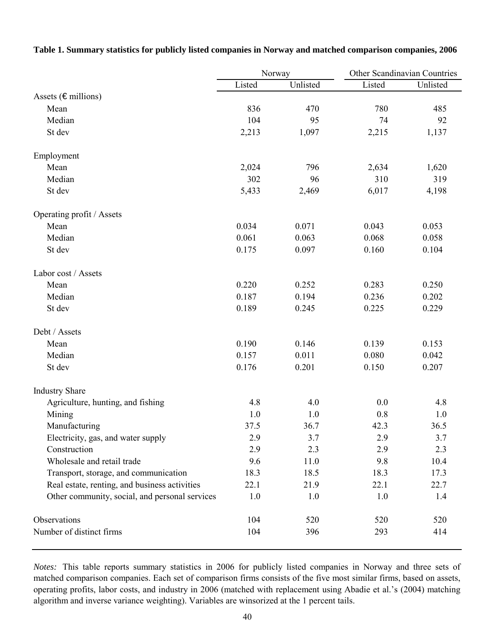|                                                |        | Norway   | Other Scandinavian Countries |          |
|------------------------------------------------|--------|----------|------------------------------|----------|
|                                                | Listed | Unlisted | Listed                       | Unlisted |
| Assets ( $\epsilon$ millions)                  |        |          |                              |          |
| Mean                                           | 836    | 470      | 780                          | 485      |
| Median                                         | 104    | 95       | 74                           | 92       |
| St dev                                         | 2,213  | 1,097    | 2,215                        | 1,137    |
| Employment                                     |        |          |                              |          |
| Mean                                           | 2,024  | 796      | 2,634                        | 1,620    |
| Median                                         | 302    | 96       | 310                          | 319      |
| St dev                                         | 5,433  | 2,469    | 6,017                        | 4,198    |
| Operating profit / Assets                      |        |          |                              |          |
| Mean                                           | 0.034  | 0.071    | 0.043                        | 0.053    |
| Median                                         | 0.061  | 0.063    | 0.068                        | 0.058    |
| St dev                                         | 0.175  | 0.097    | 0.160                        | 0.104    |
| Labor cost / Assets                            |        |          |                              |          |
| Mean                                           | 0.220  | 0.252    | 0.283                        | 0.250    |
| Median                                         | 0.187  | 0.194    | 0.236                        | 0.202    |
| St dev                                         | 0.189  | 0.245    | 0.225                        | 0.229    |
| Debt / Assets                                  |        |          |                              |          |
| Mean                                           | 0.190  | 0.146    | 0.139                        | 0.153    |
| Median                                         | 0.157  | 0.011    | 0.080                        | 0.042    |
| St dev                                         | 0.176  | 0.201    | 0.150                        | 0.207    |
| <b>Industry Share</b>                          |        |          |                              |          |
| Agriculture, hunting, and fishing              | 4.8    | 4.0      | 0.0                          | 4.8      |
| Mining                                         | 1.0    | 1.0      | 0.8                          | 1.0      |
| Manufacturing                                  | 37.5   | 36.7     | 42.3                         | 36.5     |
| Electricity, gas, and water supply             | 2.9    | 3.7      | 2.9                          | 3.7      |
| Construction                                   | 2.9    | 2.3      | 2.9                          | 2.3      |
| Wholesale and retail trade                     | 9.6    | 11.0     | 9.8                          | 10.4     |
| Transport, storage, and communication          | 18.3   | 18.5     | 18.3                         | 17.3     |
| Real estate, renting, and business activities  | 22.1   | 21.9     | 22.1                         | 22.7     |
| Other community, social, and personal services | 1.0    | 1.0      | 1.0                          | 1.4      |
| Observations                                   | 104    | 520      | 520                          | 520      |
| Number of distinct firms                       | 104    | 396      | 293                          | 414      |

**Table 1. Summary statistics for publicly listed companies in Norway and matched comparison companies, 2006**

*Notes:* This table reports summary statistics in 2006 for publicly listed companies in Norway and three sets of matched comparison companies. Each set of comparison firms consists of the five most similar firms, based on assets, operating profits, labor costs, and industry in 2006 (matched with replacement using Abadie et al.'s (2004) matching algorithm and inverse variance weighting). Variables are winsorized at the 1 percent tails.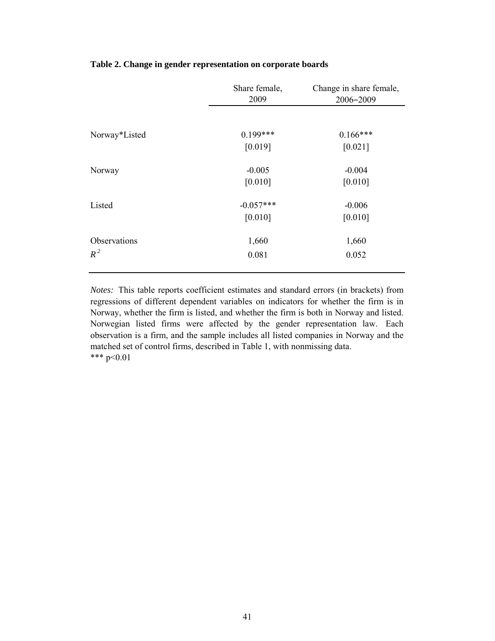|               | Share female,<br>2009 | Change in share female,<br>2006-2009 |
|---------------|-----------------------|--------------------------------------|
|               |                       |                                      |
| Norway*Listed | $0.199***$            | $0.166***$                           |
|               | [0.019]               | [0.021]                              |
| Norway        | $-0.005$              | $-0.004$                             |
|               | [0.010]               | [0.010]                              |
| Listed        | $-0.057***$           | $-0.006$                             |
|               | [0.010]               | [0.010]                              |
| Observations  | 1,660                 | 1,660                                |
| $R^2$         | 0.081                 | 0.052                                |
|               |                       |                                      |

# **Table 2. Change in gender representation on corporate boards**

*Notes:* This table reports coefficient estimates and standard errors (in brackets) from regressions of different dependent variables on indicators for whether the firm is in Norway, whether the firm is listed, and whether the firm is both in Norway and listed. Norwegian listed firms were affected by the gender representation law. Each observation is a firm, and the sample includes all listed companies in Norway and the matched set of control firms, described in Table 1, with nonmissing data. \*\*\* p<0.01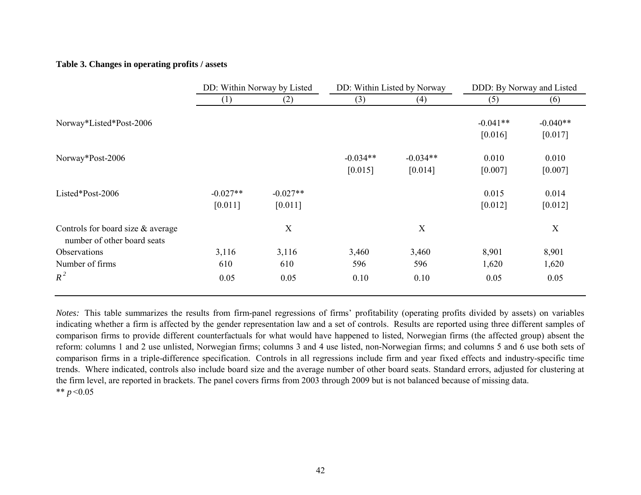## **Table 3. Changes in operating profits / assets**

|                                                                    | DD: Within Norway by Listed |                       | DD: Within Listed by Norway |                       | DDD: By Norway and Listed |                       |
|--------------------------------------------------------------------|-----------------------------|-----------------------|-----------------------------|-----------------------|---------------------------|-----------------------|
|                                                                    | $\left(1\right)$            | (2)                   | (3)                         | (4)                   | (5)                       | (6)                   |
| Norway*Listed*Post-2006                                            |                             |                       |                             |                       | $-0.041**$<br>[0.016]     | $-0.040**$<br>[0.017] |
| Norway*Post-2006                                                   |                             |                       | $-0.034**$<br>[0.015]       | $-0.034**$<br>[0.014] | 0.010<br>[0.007]          | 0.010<br>[0.007]      |
| Listed*Post-2006                                                   | $-0.027**$<br>[0.011]       | $-0.027**$<br>[0.011] |                             |                       | 0.015<br>[0.012]          | 0.014<br>[0.012]      |
| Controls for board size $&$ average<br>number of other board seats |                             | X                     |                             | X                     |                           | X                     |
| Observations                                                       | 3,116                       | 3,116                 | 3,460                       | 3,460                 | 8,901                     | 8,901                 |
| Number of firms                                                    | 610                         | 610                   | 596                         | 596                   | 1,620                     | 1,620                 |
| $R^2$                                                              | 0.05                        | 0.05                  | 0.10                        | 0.10                  | 0.05                      | 0.05                  |

*Notes:* This table summarizes the results from firm-panel regressions of firms' profitability (operating profits divided by assets) on variables indicating whether a firm is affected by the gender representation law and a set of controls. Results are reported using three different samples of comparison firms to provide different counterfactuals for what would have happened to listed, Norwegian firms (the affected group) absent the reform: columns 1 and 2 use unlisted, Norwegian firms; columns 3 and 4 use listed, non-Norwegian firms; and columns 5 and 6 use both sets of comparison firms in a triple-difference specification. Controls in all regressions include firm and year fixed effects and industry-specific time trends. Where indicated, controls also include board size and the average number of other board seats. Standard errors, adjusted for clustering at the firm level, are reported in brackets. The panel covers firms from 2003 through 2009 but is not balanced because of missing data. \*\* *p* <0.05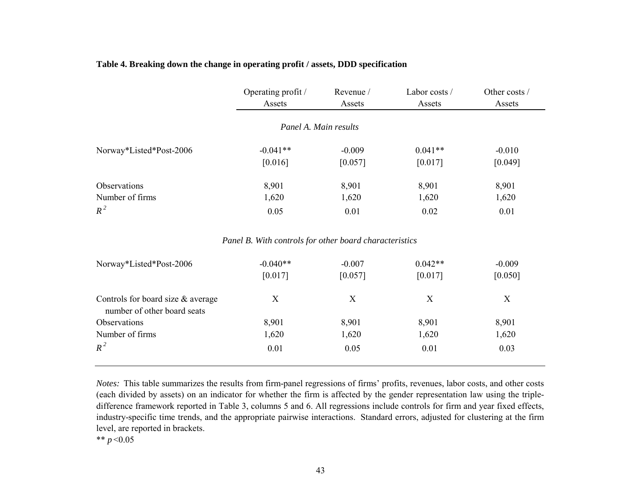# **Table 4. Breaking down the change in operating profit / assets, DDD specification**

|                                                                  | Operating profit /<br>Assets                           | Revenue /<br>Assets | Labor costs /<br>Assets | Other costs /<br>Assets |
|------------------------------------------------------------------|--------------------------------------------------------|---------------------|-------------------------|-------------------------|
|                                                                  | Panel A. Main results                                  |                     |                         |                         |
| Norway*Listed*Post-2006                                          | $-0.041**$                                             | $-0.009$            | $0.041**$               | $-0.010$                |
|                                                                  | [0.016]                                                | [0.057]             | [0.017]                 | [0.049]                 |
| Observations                                                     | 8,901                                                  | 8,901               | 8,901                   | 8,901                   |
| Number of firms                                                  | 1,620                                                  | 1,620               | 1,620                   | 1,620                   |
| $R^2$                                                            | 0.05                                                   | 0.01                | 0.02                    | 0.01                    |
|                                                                  | Panel B. With controls for other board characteristics |                     |                         |                         |
| Norway*Listed*Post-2006                                          | $-0.040**$                                             | $-0.007$            | $0.042**$               | $-0.009$                |
|                                                                  | [0.017]                                                | [0.057]             | [0.017]                 | [0.050]                 |
| Controls for board size & average<br>number of other board seats | X                                                      | X                   | X                       | X                       |
| Observations                                                     | 8,901                                                  | 8,901               | 8,901                   | 8,901                   |
| Number of firms                                                  | 1,620                                                  | 1,620               | 1,620                   | 1,620                   |
| $R^2$                                                            | 0.01                                                   | 0.05                | 0.01                    | 0.03                    |

*Notes:* This table summarizes the results from firm-panel regressions of firms' profits, revenues, labor costs, and other costs (each divided by assets) on an indicator for whether the firm is affected by the gender representation law using the tripledifference framework reported in Table 3, columns 5 and 6. All regressions include controls for firm and year fixed effects, industry-specific time trends, and the appropriate pairwise interactions. Standard errors, adjusted for clustering at the firm level, are reported in brackets.

\*\* *p* <0.05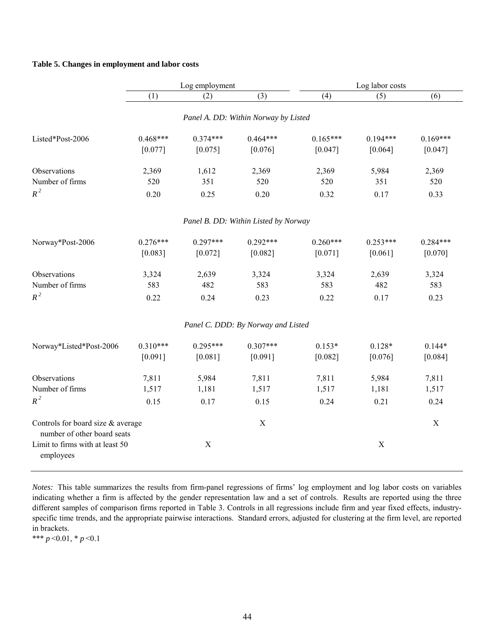### **Table 5. Changes in employment and labor costs**

|                                                                                                                  | Log employment |             |                                      | Log labor costs |             |            |  |
|------------------------------------------------------------------------------------------------------------------|----------------|-------------|--------------------------------------|-----------------|-------------|------------|--|
|                                                                                                                  | (1)            | (2)         | (3)                                  | (4)             | (5)         | (6)        |  |
|                                                                                                                  |                |             | Panel A. DD: Within Norway by Listed |                 |             |            |  |
| Listed*Post-2006                                                                                                 | $0.468***$     | $0.374***$  | $0.464***$                           | $0.165***$      | $0.194***$  | $0.169***$ |  |
|                                                                                                                  | [0.077]        | [0.075]     | [0.076]                              | [0.047]         | [0.064]     | [0.047]    |  |
| Observations                                                                                                     | 2,369          | 1,612       | 2,369                                | 2,369           | 5,984       | 2,369      |  |
| Number of firms                                                                                                  | 520            | 351         | 520                                  | 520             | 351         | 520        |  |
| $R^2$                                                                                                            | 0.20           | 0.25        | 0.20                                 | 0.32            | 0.17        | 0.33       |  |
|                                                                                                                  |                |             | Panel B. DD: Within Listed by Norway |                 |             |            |  |
| Norway*Post-2006                                                                                                 | $0.276***$     | $0.297***$  | $0.292***$                           | $0.260***$      | $0.253***$  | $0.284***$ |  |
|                                                                                                                  | [0.083]        | [0.072]     | [0.082]                              | [0.071]         | [0.061]     | [0.070]    |  |
| Observations                                                                                                     | 3,324          | 2,639       | 3,324                                | 3,324           | 2,639       | 3,324      |  |
| Number of firms                                                                                                  | 583            | 482         | 583                                  | 583             | 482         | 583        |  |
| $R^2$                                                                                                            | 0.22           | 0.24        | 0.23                                 | 0.22            | 0.17        | 0.23       |  |
|                                                                                                                  |                |             | Panel C. DDD: By Norway and Listed   |                 |             |            |  |
| Norway*Listed*Post-2006                                                                                          | $0.310***$     | $0.295***$  | $0.307***$                           | $0.153*$        | $0.128*$    | $0.144*$   |  |
|                                                                                                                  | [0.091]        | [0.081]     | [0.091]                              | [0.082]         | [0.076]     | [0.084]    |  |
| Observations                                                                                                     | 7,811          | 5,984       | 7,811                                | 7,811           | 5,984       | 7,811      |  |
| Number of firms                                                                                                  | 1,517          | 1,181       | 1,517                                | 1,517           | 1,181       | 1,517      |  |
| $R^2$                                                                                                            | 0.15           | 0.17        | 0.15                                 | 0.24            | 0.21        | 0.24       |  |
| Controls for board size & average<br>number of other board seats<br>Limit to firms with at least 50<br>employees |                | $\mathbf X$ | $\mathbf X$                          |                 | $\mathbf X$ | X          |  |

*Notes:* This table summarizes the results from firm-panel regressions of firms' log employment and log labor costs on variables indicating whether a firm is affected by the gender representation law and a set of controls. Results are reported using the three different samples of comparison firms reported in Table 3. Controls in all regressions include firm and year fixed effects, industryspecific time trends, and the appropriate pairwise interactions. Standard errors, adjusted for clustering at the firm level, are reported in brackets.

\*\*\* *p* <0.01, \* *p* <0.1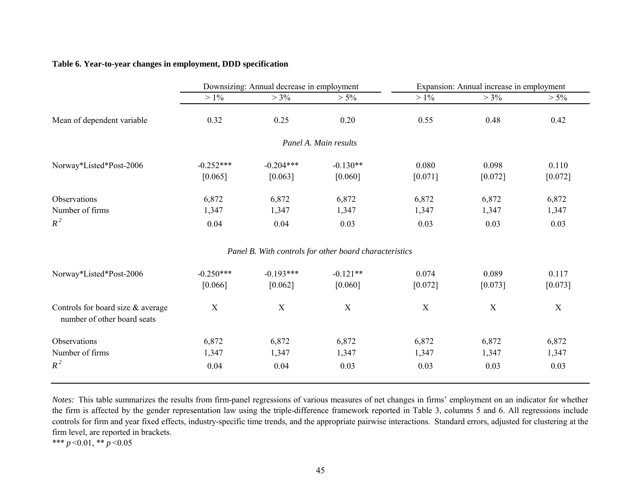# **Table 6. Year-to-year changes in employment, DDD specification**

|                                                                  | Downsizing: Annual decrease in employment |                        |                                                        | Expansion: Annual increase in employment |                        |                        |
|------------------------------------------------------------------|-------------------------------------------|------------------------|--------------------------------------------------------|------------------------------------------|------------------------|------------------------|
|                                                                  | $>1\%$                                    | $> 3\%$                | $> 5\%$                                                | $> 1\%$                                  | $> 3\%$                | $> 5\%$                |
| Mean of dependent variable                                       | 0.32                                      | 0.25                   | 0.20                                                   | 0.55                                     | 0.48                   | 0.42                   |
|                                                                  |                                           |                        | Panel A. Main results                                  |                                          |                        |                        |
| Norway*Listed*Post-2006                                          | $-0.252***$<br>[0.065]                    | $-0.204***$<br>[0.063] | $-0.130**$<br>[0.060]                                  | 0.080<br>[0.071]                         | 0.098<br>$[0.072]$     | 0.110<br>$[0.072]$     |
| Observations<br>Number of firms<br>$R^2$                         | 6,872<br>1,347<br>0.04                    | 6,872<br>1,347<br>0.04 | 6,872<br>1,347<br>0.03                                 | 6,872<br>1,347<br>0.03                   | 6,872<br>1,347<br>0.03 | 6,872<br>1,347<br>0.03 |
|                                                                  |                                           |                        | Panel B. With controls for other board characteristics |                                          |                        |                        |
| Norway*Listed*Post-2006                                          | $-0.250***$<br>[0.066]                    | $-0.193***$<br>[0.062] | $-0.121**$<br>[0.060]                                  | 0.074<br>$[0.072]$                       | 0.089<br>$[0.073]$     | 0.117<br>[0.073]       |
| Controls for board size & average<br>number of other board seats | X                                         | X                      | $\mathbf X$                                            | X                                        | X                      | X                      |
| Observations<br>Number of firms<br>$R^2$                         | 6,872<br>1,347<br>0.04                    | 6,872<br>1,347<br>0.04 | 6,872<br>1,347<br>0.03                                 | 6,872<br>1,347<br>0.03                   | 6,872<br>1,347<br>0.03 | 6,872<br>1,347<br>0.03 |

*Notes:* This table summarizes the results from firm-panel regressions of various measures of net changes in firms' employment on an indicator for whether the firm is affected by the gender representation law using the triple-difference framework reported in Table 3, columns 5 and 6. All regressions include controls for firm and year fixed effects, industry-specific time trends, and the appropriate pairwise interactions. Standard errors, adjusted for clustering at the firm level, are reported in brackets.

\*\*\* *p* < 0.01, \*\* *p* < 0.05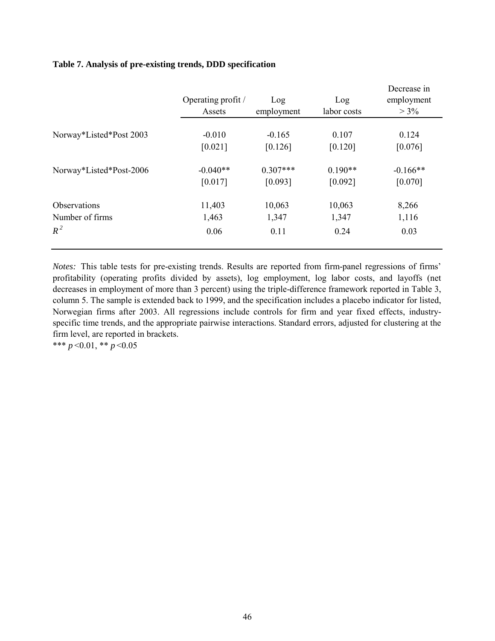# **Table 7. Analysis of pre-existing trends, DDD specification**

|                         | Operating profit /<br>Assets | Log<br>employment | Log<br>labor costs | Decrease in<br>employment<br>$> 3\%$ |
|-------------------------|------------------------------|-------------------|--------------------|--------------------------------------|
| Norway*Listed*Post 2003 | $-0.010$                     | $-0.165$          | 0.107              | 0.124                                |
|                         | [0.021]                      | [0.126]           | [0.120]            | [0.076]                              |
| Norway*Listed*Post-2006 | $-0.040**$                   | $0.307***$        | $0.190**$          | $-0.166**$                           |
|                         | [0.017]                      | [0.093]           | [0.092]            | [0.070]                              |
| Observations            | 11,403                       | 10,063            | 10,063             | 8,266                                |
| Number of firms         | 1,463                        | 1,347             | 1,347              | 1,116                                |
| $R^2$                   | 0.06                         | 0.11              | 0.24               | 0.03                                 |

*Notes:* This table tests for pre-existing trends. Results are reported from firm-panel regressions of firms' profitability (operating profits divided by assets), log employment, log labor costs, and layoffs (net decreases in employment of more than 3 percent) using the triple-difference framework reported in Table 3, column 5. The sample is extended back to 1999, and the specification includes a placebo indicator for listed, Norwegian firms after 2003. All regressions include controls for firm and year fixed effects, industryspecific time trends, and the appropriate pairwise interactions. Standard errors, adjusted for clustering at the firm level, are reported in brackets.

\*\*\* *p* <0.01, \*\* *p* <0.05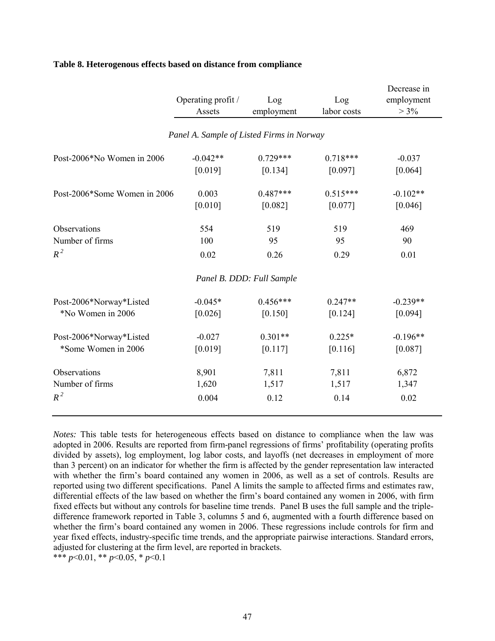|                              | Operating profit /<br>Assets              | Log<br>employment         | Log<br>labor costs | Decrease in<br>employment<br>$> 3\%$ |
|------------------------------|-------------------------------------------|---------------------------|--------------------|--------------------------------------|
|                              | Panel A. Sample of Listed Firms in Norway |                           |                    |                                      |
| Post-2006*No Women in 2006   | $-0.042**$                                | $0.729***$                | $0.718***$         | $-0.037$                             |
|                              | [0.019]                                   | [0.134]                   | [0.097]            | [0.064]                              |
| Post-2006*Some Women in 2006 | 0.003                                     | $0.487***$                | $0.515***$         | $-0.102**$                           |
|                              | [0.010]                                   | [0.082]                   | [0.077]            | [0.046]                              |
| Observations                 | 554                                       | 519                       | 519                | 469                                  |
| Number of firms              | 100                                       | 95                        | 95                 | 90                                   |
| $R^2$                        | 0.02                                      | 0.26                      | 0.29               | 0.01                                 |
|                              |                                           | Panel B. DDD: Full Sample |                    |                                      |
| Post-2006*Norway*Listed      | $-0.045*$                                 | $0.456***$                | $0.247**$          | $-0.239**$                           |
| *No Women in 2006            | [0.026]                                   | [0.150]                   | [0.124]            | [0.094]                              |
| Post-2006*Norway*Listed      | $-0.027$                                  | $0.301**$                 | $0.225*$           | $-0.196**$                           |
| *Some Women in 2006          | [0.019]                                   | [0.117]                   | [0.116]            | [0.087]                              |
| Observations                 | 8,901                                     | 7,811                     | 7,811              | 6,872                                |
| Number of firms              | 1,620                                     | 1,517                     | 1,517              | 1,347                                |
| $R^2$                        | 0.004                                     | 0.12                      | 0.14               | 0.02                                 |

## **Table 8. Heterogenous effects based on distance from compliance**

*Notes:* This table tests for heterogeneous effects based on distance to compliance when the law was adopted in 2006. Results are reported from firm-panel regressions of firms' profitability (operating profits divided by assets), log employment, log labor costs, and layoffs (net decreases in employment of more than 3 percent) on an indicator for whether the firm is affected by the gender representation law interacted with whether the firm's board contained any women in 2006, as well as a set of controls. Results are reported using two different specifications. Panel A limits the sample to affected firms and estimates raw, differential effects of the law based on whether the firm's board contained any women in 2006, with firm fixed effects but without any controls for baseline time trends. Panel B uses the full sample and the tripledifference framework reported in Table 3, columns 5 and 6, augmented with a fourth difference based on whether the firm's board contained any women in 2006. These regressions include controls for firm and year fixed effects, industry-specific time trends, and the appropriate pairwise interactions. Standard errors, adjusted for clustering at the firm level, are reported in brackets.

\*\*\*  $p<0.01$ , \*\*  $p<0.05$ , \*  $p<0.1$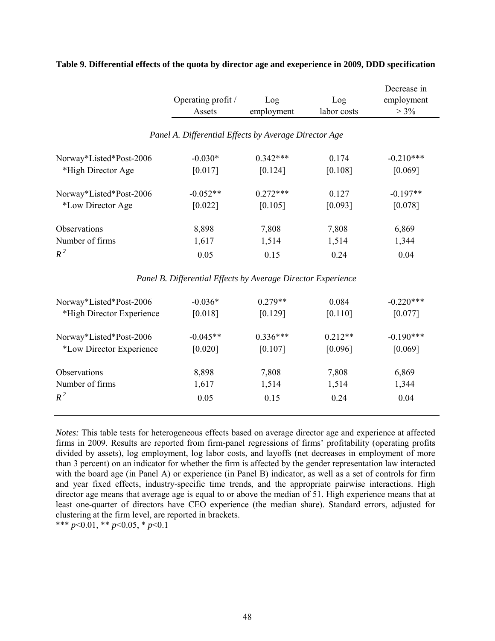|                           | Operating profit /<br>Assets                                 | Log<br>employment | Log<br>labor costs | Decrease in<br>employment<br>$> 3\%$ |
|---------------------------|--------------------------------------------------------------|-------------------|--------------------|--------------------------------------|
|                           | Panel A. Differential Effects by Average Director Age        |                   |                    |                                      |
| Norway*Listed*Post-2006   | $-0.030*$                                                    | $0.342***$        | 0.174              | $-0.210***$                          |
| *High Director Age        | [0.017]                                                      | [0.124]           | [0.108]            | [0.069]                              |
| Norway*Listed*Post-2006   | $-0.052**$                                                   | $0.272***$        | 0.127              | $-0.197**$                           |
| *Low Director Age         | [0.022]                                                      | [0.105]           | [0.093]            | [0.078]                              |
| Observations              | 8,898                                                        | 7,808             | 7,808              | 6,869                                |
| Number of firms           | 1,617                                                        | 1,514             | 1,514              | 1,344                                |
| $R^2$                     | 0.05                                                         | 0.15              | 0.24               | 0.04                                 |
|                           | Panel B. Differential Effects by Average Director Experience |                   |                    |                                      |
| Norway*Listed*Post-2006   | $-0.036*$                                                    | $0.279**$         | 0.084              | $-0.220***$                          |
| *High Director Experience | [0.018]                                                      | [0.129]           | [0.110]            | [0.077]                              |
| Norway*Listed*Post-2006   | $-0.045**$                                                   | $0.336***$        | $0.212**$          | $-0.190***$                          |
| *Low Director Experience  | [0.020]                                                      | [0.107]           | [0.096]            | [0.069]                              |
| Observations              | 8,898                                                        | 7,808             | 7,808              | 6,869                                |
| Number of firms           | 1,617                                                        | 1,514             | 1,514              | 1,344                                |
| $R^2$                     | 0.05                                                         | 0.15              | 0.24               | 0.04                                 |

# **Table 9. Differential effects of the quota by director age and exeperience in 2009, DDD specification**

*Notes:* This table tests for heterogeneous effects based on average director age and experience at affected firms in 2009. Results are reported from firm-panel regressions of firms' profitability (operating profits divided by assets), log employment, log labor costs, and layoffs (net decreases in employment of more than 3 percent) on an indicator for whether the firm is affected by the gender representation law interacted with the board age (in Panel A) or experience (in Panel B) indicator, as well as a set of controls for firm and year fixed effects, industry-specific time trends, and the appropriate pairwise interactions. High director age means that average age is equal to or above the median of 51. High experience means that at least one-quarter of directors have CEO experience (the median share). Standard errors, adjusted for clustering at the firm level, are reported in brackets.

\*\*\* *p*<0.01, \*\* *p*<0.05, \* *p*<0.1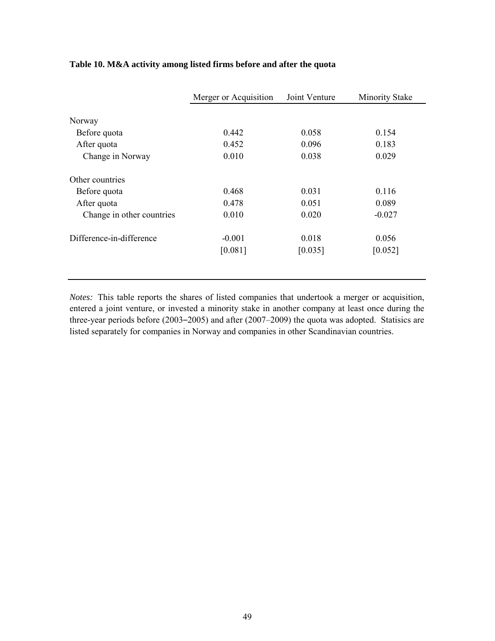|                           | Merger or Acquisition | Joint Venture | <b>Minority Stake</b> |
|---------------------------|-----------------------|---------------|-----------------------|
|                           |                       |               |                       |
| Norway                    |                       |               |                       |
| Before quota              | 0.442                 | 0.058         | 0.154                 |
| After quota               | 0.452                 | 0.096         | 0.183                 |
| Change in Norway          | 0.010                 | 0.038         | 0.029                 |
| Other countries           |                       |               |                       |
| Before quota              | 0.468                 | 0.031         | 0.116                 |
| After quota               | 0.478                 | 0.051         | 0.089                 |
| Change in other countries | 0.010                 | 0.020         | $-0.027$              |
| Difference-in-difference  | $-0.001$              | 0.018         | 0.056                 |
|                           | [0.081]               | [0.035]       | [0.052]               |
|                           |                       |               |                       |

# **Table 10. M&A activity among listed firms before and after the quota**

*Notes:* This table reports the shares of listed companies that undertook a merger or acquisition, entered a joint venture, or invested a minority stake in another company at least once during the three-year periods before (2003–2005) and after (2007–2009) the quota was adopted. Statisics are listed separately for companies in Norway and companies in other Scandinavian countries.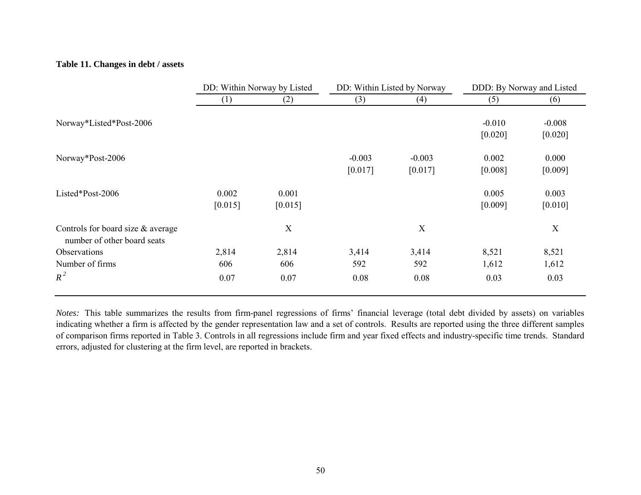# **Table 11. Changes in debt / assets**

|                                                                  | DD: Within Norway by Listed |                  | DD: Within Listed by Norway |                     | DDD: By Norway and Listed |                     |
|------------------------------------------------------------------|-----------------------------|------------------|-----------------------------|---------------------|---------------------------|---------------------|
|                                                                  | $\left(1\right)$            | (2)              | (3)                         | (4)                 | (5)                       | (6)                 |
| Norway*Listed*Post-2006                                          |                             |                  |                             |                     | $-0.010$<br>[0.020]       | $-0.008$<br>[0.020] |
| Norway*Post-2006                                                 |                             |                  | $-0.003$<br>[0.017]         | $-0.003$<br>[0.017] | 0.002<br>[0.008]          | 0.000<br>[0.009]    |
| Listed*Post-2006                                                 | 0.002<br>[0.015]            | 0.001<br>[0.015] |                             |                     | 0.005<br>[0.009]          | 0.003<br>[0.010]    |
| Controls for board size & average<br>number of other board seats |                             | X                |                             | X                   |                           | X                   |
| Observations                                                     | 2,814                       | 2,814            | 3,414                       | 3,414               | 8,521                     | 8,521               |
| Number of firms                                                  | 606                         | 606              | 592                         | 592                 | 1,612                     | 1,612               |
| $R^2$                                                            | 0.07                        | 0.07             | 0.08                        | 0.08                | 0.03                      | 0.03                |

*Notes:* This table summarizes the results from firm-panel regressions of firms' financial leverage (total debt divided by assets) on variables indicating whether a firm is affected by the gender representation law and a set of controls. Results are reported using the three different samples of comparison firms reported in Table 3. Controls in all regressions include firm and year fixed effects and industry-specific time trends. Standard errors, adjusted for clustering at the firm level, are reported in brackets.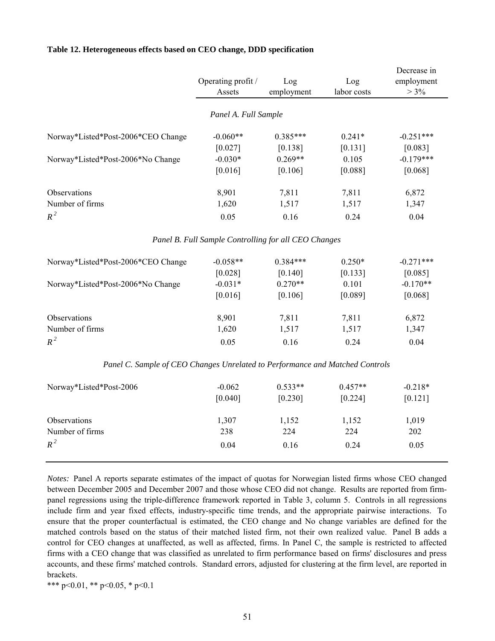|                                                                              |                                                      |            |             | Decrease in |
|------------------------------------------------------------------------------|------------------------------------------------------|------------|-------------|-------------|
|                                                                              | Operating profit /                                   | Log        | Log         | employment  |
|                                                                              | Assets                                               | employment | labor costs | $> 3\%$     |
|                                                                              | Panel A. Full Sample                                 |            |             |             |
| Norway*Listed*Post-2006*CEO Change                                           | $-0.060**$                                           | $0.385***$ | $0.241*$    | $-0.251***$ |
|                                                                              | [0.027]                                              | [0.138]    | [0.131]     | [0.083]     |
| Norway*Listed*Post-2006*No Change                                            | $-0.030*$                                            | $0.269**$  | 0.105       | $-0.179***$ |
|                                                                              | [0.016]                                              | [0.106]    | [0.088]     | [0.068]     |
| Observations                                                                 | 8,901                                                | 7,811      | 7,811       | 6,872       |
| Number of firms                                                              | 1,620                                                | 1,517      | 1,517       | 1,347       |
| $R^2$                                                                        | 0.05                                                 | 0.16       | 0.24        | 0.04        |
|                                                                              | Panel B. Full Sample Controlling for all CEO Changes |            |             |             |
| Norway*Listed*Post-2006*CEO Change                                           | $-0.058**$                                           | $0.384***$ | $0.250*$    | $-0.271***$ |
|                                                                              | [0.028]                                              | [0.140]    | [0.133]     | [0.085]     |
| Norway*Listed*Post-2006*No Change                                            | $-0.031*$                                            | $0.270**$  | 0.101       | $-0.170**$  |
|                                                                              | [0.016]                                              | [0.106]    | [0.089]     | [0.068]     |
| Observations                                                                 | 8,901                                                | 7,811      | 7,811       | 6,872       |
| Number of firms                                                              | 1,620                                                | 1,517      | 1,517       | 1,347       |
| $R^2$                                                                        | 0.05                                                 | 0.16       | 0.24        | 0.04        |
| Panel C. Sample of CEO Changes Unrelated to Performance and Matched Controls |                                                      |            |             |             |
| Norway*Listed*Post-2006                                                      | $-0.062$                                             | $0.533**$  | $0.457**$   | $-0.218*$   |
|                                                                              | [0.040]                                              | [0.230]    | [0.224]     | $[0.121]$   |
| Observations                                                                 | 1,307                                                | 1,152      | 1,152       | 1,019       |
| Number of firms                                                              | 238                                                  | 224        | 224         | 202         |
| $R^2$                                                                        | 0.04                                                 | 0.16       | 0.24        | 0.05        |
|                                                                              |                                                      |            |             |             |

#### **Table 12. Heterogeneous effects based on CEO change, DDD specification**

*Notes:* Panel A reports separate estimates of the impact of quotas for Norwegian listed firms whose CEO changed between December 2005 and December 2007 and those whose CEO did not change. Results are reported from firmpanel regressions using the triple-difference framework reported in Table 3, column 5. Controls in all regressions include firm and year fixed effects, industry-specific time trends, and the appropriate pairwise interactions. To ensure that the proper counterfactual is estimated, the CEO change and No change variables are defined for the matched controls based on the status of their matched listed firm, not their own realized value. Panel B adds a control for CEO changes at unaffected, as well as affected, firms. In Panel C, the sample is restricted to affected firms with a CEO change that was classified as unrelated to firm performance based on firms' disclosures and press accounts, and these firms' matched controls. Standard errors, adjusted for clustering at the firm level, are reported in brackets.

\*\*\* p<0.01, \*\* p<0.05, \* p<0.1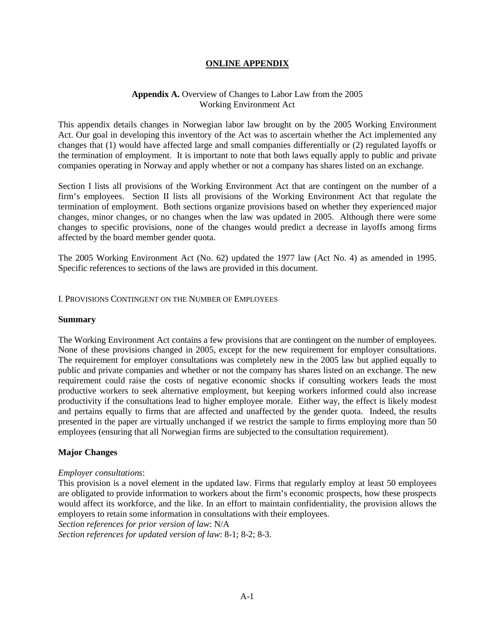## **ONLINE APPENDIX**

## **Appendix A.** Overview of Changes to Labor Law from the 2005 Working Environment Act

This appendix details changes in Norwegian labor law brought on by the 2005 Working Environment Act. Our goal in developing this inventory of the Act was to ascertain whether the Act implemented any changes that (1) would have affected large and small companies differentially or (2) regulated layoffs or the termination of employment. It is important to note that both laws equally apply to public and private companies operating in Norway and apply whether or not a company has shares listed on an exchange.

Section I lists all provisions of the Working Environment Act that are contingent on the number of a firm's employees. Section II lists all provisions of the Working Environment Act that regulate the termination of employment. Both sections organize provisions based on whether they experienced major changes, minor changes, or no changes when the law was updated in 2005. Although there were some changes to specific provisions, none of the changes would predict a decrease in layoffs among firms affected by the board member gender quota.

The 2005 Working Environment Act (No. 62) updated the 1977 law (Act No. 4) as amended in 1995. Specific references to sections of the laws are provided in this document.

I. PROVISIONS CONTINGENT ON THE NUMBER OF EMPLOYEES

### **Summary**

The Working Environment Act contains a few provisions that are contingent on the number of employees. None of these provisions changed in 2005, except for the new requirement for employer consultations. The requirement for employer consultations was completely new in the 2005 law but applied equally to public and private companies and whether or not the company has shares listed on an exchange. The new requirement could raise the costs of negative economic shocks if consulting workers leads the most productive workers to seek alternative employment, but keeping workers informed could also increase productivity if the consultations lead to higher employee morale. Either way, the effect is likely modest and pertains equally to firms that are affected and unaffected by the gender quota. Indeed, the results presented in the paper are virtually unchanged if we restrict the sample to firms employing more than 50 employees (ensuring that all Norwegian firms are subjected to the consultation requirement).

### **Major Changes**

### *Employer consultations*:

This provision is a novel element in the updated law. Firms that regularly employ at least 50 employees are obligated to provide information to workers about the firm's economic prospects, how these prospects would affect its workforce, and the like. In an effort to maintain confidentiality, the provision allows the employers to retain some information in consultations with their employees.

*Section references for prior version of law*: N/A *Section references for updated version of law*: 8-1; 8-2; 8-3.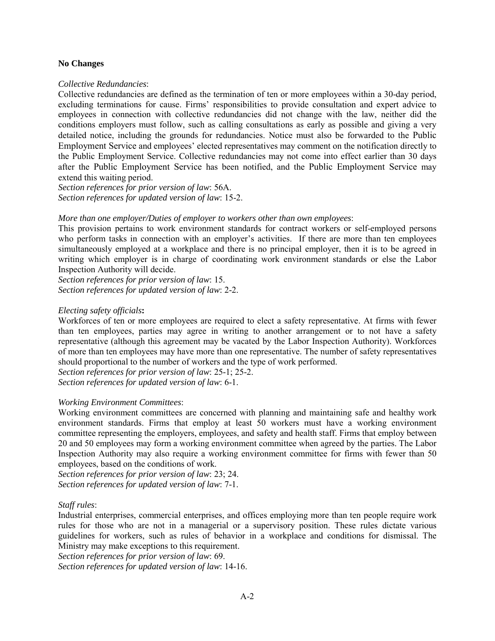## **No Changes**

## *Collective Redundancies*:

Collective redundancies are defined as the termination of ten or more employees within a 30-day period, excluding terminations for cause. Firms' responsibilities to provide consultation and expert advice to employees in connection with collective redundancies did not change with the law, neither did the conditions employers must follow, such as calling consultations as early as possible and giving a very detailed notice, including the grounds for redundancies. Notice must also be forwarded to the Public Employment Service and employees' elected representatives may comment on the notification directly to the Public Employment Service. Collective redundancies may not come into effect earlier than 30 days after the Public Employment Service has been notified, and the Public Employment Service may extend this waiting period.

*Section references for prior version of law*: 56A. *Section references for updated version of law*: 15-2.

## *More than one employer/Duties of employer to workers other than own employees:*

This provision pertains to work environment standards for contract workers or self-employed persons who perform tasks in connection with an employer's activities. If there are more than ten employees simultaneously employed at a workplace and there is no principal employer, then it is to be agreed in writing which employer is in charge of coordinating work environment standards or else the Labor Inspection Authority will decide.

*Section references for prior version of law*: 15. *Section references for updated version of law*: 2-2.

## *Electing safety officials***:**

Workforces of ten or more employees are required to elect a safety representative. At firms with fewer than ten employees, parties may agree in writing to another arrangement or to not have a safety representative (although this agreement may be vacated by the Labor Inspection Authority). Workforces of more than ten employees may have more than one representative. The number of safety representatives should proportional to the number of workers and the type of work performed.

*Section references for prior version of law*: 25-1; 25-2.

*Section references for updated version of law*: 6-1.

# *Working Environment Committees*:

Working environment committees are concerned with planning and maintaining safe and healthy work environment standards. Firms that employ at least 50 workers must have a working environment committee representing the employers, employees, and safety and health staff. Firms that employ between 20 and 50 employees may form a working environment committee when agreed by the parties. The Labor Inspection Authority may also require a working environment committee for firms with fewer than 50 employees, based on the conditions of work.

*Section references for prior version of law*: 23; 24. *Section references for updated version of law*: 7-1.

# *Staff rules*:

Industrial enterprises, commercial enterprises, and offices employing more than ten people require work rules for those who are not in a managerial or a supervisory position. These rules dictate various guidelines for workers, such as rules of behavior in a workplace and conditions for dismissal. The Ministry may make exceptions to this requirement.

*Section references for prior version of law*: 69.

*Section references for updated version of law*: 14-16.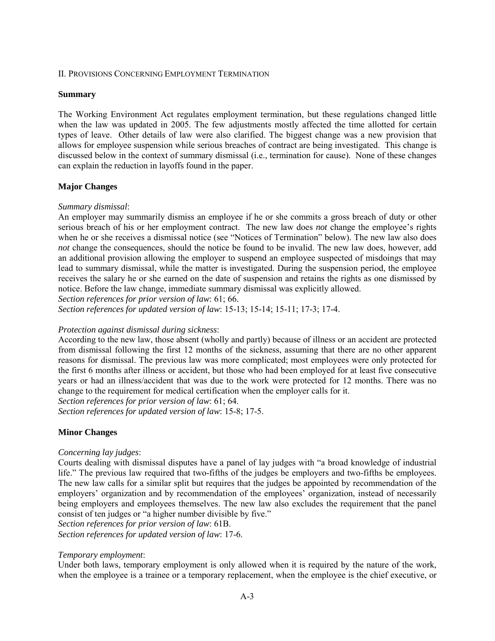## II. PROVISIONS CONCERNING EMPLOYMENT TERMINATION

## **Summary**

The Working Environment Act regulates employment termination, but these regulations changed little when the law was updated in 2005. The few adjustments mostly affected the time allotted for certain types of leave. Other details of law were also clarified. The biggest change was a new provision that allows for employee suspension while serious breaches of contract are being investigated. This change is discussed below in the context of summary dismissal (i.e., termination for cause). None of these changes can explain the reduction in layoffs found in the paper.

# **Major Changes**

# *Summary dismissal*:

An employer may summarily dismiss an employee if he or she commits a gross breach of duty or other serious breach of his or her employment contract. The new law does *not* change the employee's rights when he or she receives a dismissal notice (see "Notices of Termination" below). The new law also does *not* change the consequences, should the notice be found to be invalid. The new law does, however, add an additional provision allowing the employer to suspend an employee suspected of misdoings that may lead to summary dismissal, while the matter is investigated. During the suspension period, the employee receives the salary he or she earned on the date of suspension and retains the rights as one dismissed by notice. Before the law change, immediate summary dismissal was explicitly allowed.

*Section references for prior version of law*: 61; 66.

*Section references for updated version of law*: 15-13; 15-14; 15-11; 17-3; 17-4.

# *Protection against dismissal during sickness*:

According to the new law, those absent (wholly and partly) because of illness or an accident are protected from dismissal following the first 12 months of the sickness, assuming that there are no other apparent reasons for dismissal. The previous law was more complicated; most employees were only protected for the first 6 months after illness or accident, but those who had been employed for at least five consecutive years or had an illness/accident that was due to the work were protected for 12 months. There was no change to the requirement for medical certification when the employer calls for it.

*Section references for prior version of law*: 61; 64.

*Section references for updated version of law*: 15-8; 17-5.

# **Minor Changes**

# *Concerning lay judges*:

Courts dealing with dismissal disputes have a panel of lay judges with "a broad knowledge of industrial life." The previous law required that two-fifths of the judges be employers and two-fifths be employees. The new law calls for a similar split but requires that the judges be appointed by recommendation of the employers' organization and by recommendation of the employees' organization, instead of necessarily being employers and employees themselves. The new law also excludes the requirement that the panel consist of ten judges or "a higher number divisible by five."

*Section references for prior version of law*: 61B. *Section references for updated version of law*: 17-6.

# *Temporary employment*:

Under both laws, temporary employment is only allowed when it is required by the nature of the work, when the employee is a trainee or a temporary replacement, when the employee is the chief executive, or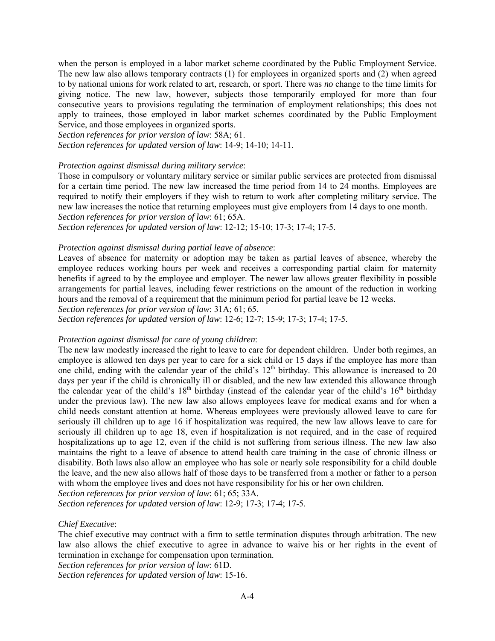when the person is employed in a labor market scheme coordinated by the Public Employment Service. The new law also allows temporary contracts (1) for employees in organized sports and (2) when agreed to by national unions for work related to art, research, or sport. There was *no* change to the time limits for giving notice. The new law, however, subjects those temporarily employed for more than four consecutive years to provisions regulating the termination of employment relationships; this does not apply to trainees, those employed in labor market schemes coordinated by the Public Employment Service, and those employees in organized sports.

*Section references for prior version of law*: 58A; 61. *Section references for updated version of law*: 14-9; 14-10; 14-11.

### *Protection against dismissal during military service*:

Those in compulsory or voluntary military service or similar public services are protected from dismissal for a certain time period. The new law increased the time period from 14 to 24 months. Employees are required to notify their employers if they wish to return to work after completing military service. The new law increases the notice that returning employees must give employers from 14 days to one month. *Section references for prior version of law*: 61; 65A.

*Section references for updated version of law*: 12-12; 15-10; 17-3; 17-4; 17-5.

#### *Protection against dismissal during partial leave of absence*:

Leaves of absence for maternity or adoption may be taken as partial leaves of absence, whereby the employee reduces working hours per week and receives a corresponding partial claim for maternity benefits if agreed to by the employee and employer. The newer law allows greater flexibility in possible arrangements for partial leaves, including fewer restrictions on the amount of the reduction in working hours and the removal of a requirement that the minimum period for partial leave be 12 weeks.

*Section references for prior version of law*: 31A; 61; 65.

*Section references for updated version of law*: 12-6; 12-7; 15-9; 17-3; 17-4; 17-5.

## *Protection against dismissal for care of young children*:

The new law modestly increased the right to leave to care for dependent children. Under both regimes, an employee is allowed ten days per year to care for a sick child or 15 days if the employee has more than one child, ending with the calendar year of the child's  $12<sup>th</sup>$  birthday. This allowance is increased to 20 days per year if the child is chronically ill or disabled, and the new law extended this allowance through the calendar year of the child's  $18<sup>th</sup>$  birthday (instead of the calendar year of the child's  $16<sup>th</sup>$  birthday under the previous law). The new law also allows employees leave for medical exams and for when a child needs constant attention at home. Whereas employees were previously allowed leave to care for seriously ill children up to age 16 if hospitalization was required, the new law allows leave to care for seriously ill children up to age 18, even if hospitalization is not required, and in the case of required hospitalizations up to age 12, even if the child is not suffering from serious illness. The new law also maintains the right to a leave of absence to attend health care training in the case of chronic illness or disability. Both laws also allow an employee who has sole or nearly sole responsibility for a child double the leave, and the new also allows half of those days to be transferred from a mother or father to a person with whom the employee lives and does not have responsibility for his or her own children.

*Section references for prior version of law*: 61; 65; 33A.

*Section references for updated version of law*: 12-9; 17-3; 17-4; 17-5.

# *Chief Executive*:

The chief executive may contract with a firm to settle termination disputes through arbitration. The new law also allows the chief executive to agree in advance to waive his or her rights in the event of termination in exchange for compensation upon termination.

*Section references for prior version of law*: 61D.

*Section references for updated version of law*: 15-16.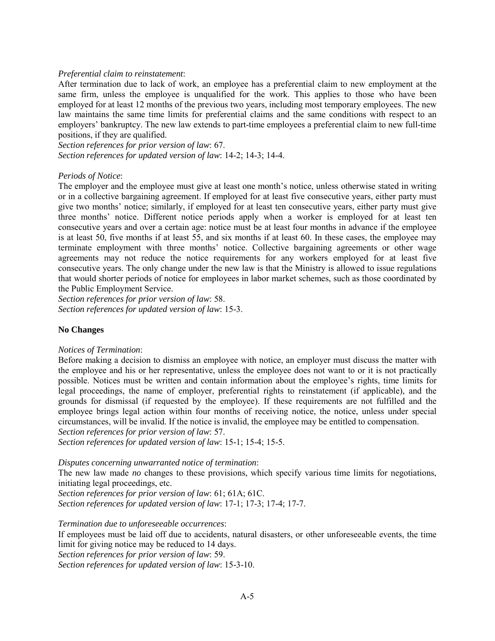## *Preferential claim to reinstatement*:

After termination due to lack of work, an employee has a preferential claim to new employment at the same firm, unless the employee is unqualified for the work. This applies to those who have been employed for at least 12 months of the previous two years, including most temporary employees. The new law maintains the same time limits for preferential claims and the same conditions with respect to an employers' bankruptcy. The new law extends to part-time employees a preferential claim to new full-time positions, if they are qualified.

*Section references for prior version of law*: 67. *Section references for updated version of law*: 14-2; 14-3; 14-4.

## *Periods of Notice*:

The employer and the employee must give at least one month's notice, unless otherwise stated in writing or in a collective bargaining agreement. If employed for at least five consecutive years, either party must give two months' notice; similarly, if employed for at least ten consecutive years, either party must give three months' notice. Different notice periods apply when a worker is employed for at least ten consecutive years and over a certain age: notice must be at least four months in advance if the employee is at least 50, five months if at least 55, and six months if at least 60. In these cases, the employee may terminate employment with three months' notice. Collective bargaining agreements or other wage agreements may not reduce the notice requirements for any workers employed for at least five consecutive years. The only change under the new law is that the Ministry is allowed to issue regulations that would shorter periods of notice for employees in labor market schemes, such as those coordinated by the Public Employment Service.

*Section references for prior version of law*: 58. *Section references for updated version of law*: 15-3.

# **No Changes**

### *Notices of Termination*:

Before making a decision to dismiss an employee with notice, an employer must discuss the matter with the employee and his or her representative, unless the employee does not want to or it is not practically possible. Notices must be written and contain information about the employee's rights, time limits for legal proceedings, the name of employer, preferential rights to reinstatement (if applicable), and the grounds for dismissal (if requested by the employee). If these requirements are not fulfilled and the employee brings legal action within four months of receiving notice, the notice, unless under special circumstances, will be invalid. If the notice is invalid, the employee may be entitled to compensation.

*Section references for prior version of law*: 57.

*Section references for updated version of law*: 15-1; 15-4; 15-5.

*Disputes concerning unwarranted notice of termination*:

The new law made *no* changes to these provisions, which specify various time limits for negotiations, initiating legal proceedings, etc.

*Section references for prior version of law*: 61; 61A; 61C.

*Section references for updated version of law*: 17-1; 17-3; 17-4; 17-7.

*Termination due to unforeseeable occurrences*:

If employees must be laid off due to accidents, natural disasters, or other unforeseeable events, the time limit for giving notice may be reduced to 14 days.

*Section references for prior version of law*: 59.

*Section references for updated version of law*: 15-3-10.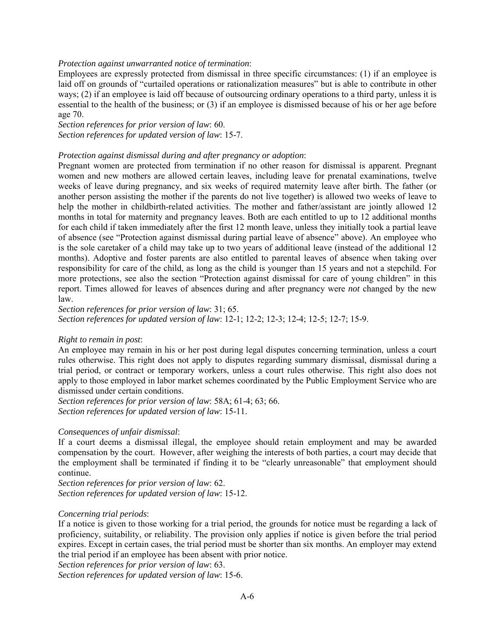## *Protection against unwarranted notice of termination*:

Employees are expressly protected from dismissal in three specific circumstances: (1) if an employee is laid off on grounds of "curtailed operations or rationalization measures" but is able to contribute in other ways; (2) if an employee is laid off because of outsourcing ordinary operations to a third party, unless it is essential to the health of the business; or (3) if an employee is dismissed because of his or her age before age 70.

*Section references for prior version of law*: 60. *Section references for updated version of law*: 15-7.

## *Protection against dismissal during and after pregnancy or adoption*:

Pregnant women are protected from termination if no other reason for dismissal is apparent. Pregnant women and new mothers are allowed certain leaves, including leave for prenatal examinations, twelve weeks of leave during pregnancy, and six weeks of required maternity leave after birth. The father (or another person assisting the mother if the parents do not live together) is allowed two weeks of leave to help the mother in childbirth-related activities. The mother and father/assistant are jointly allowed 12 months in total for maternity and pregnancy leaves. Both are each entitled to up to 12 additional months for each child if taken immediately after the first 12 month leave, unless they initially took a partial leave of absence (see "Protection against dismissal during partial leave of absence" above). An employee who is the sole caretaker of a child may take up to two years of additional leave (instead of the additional 12 months). Adoptive and foster parents are also entitled to parental leaves of absence when taking over responsibility for care of the child, as long as the child is younger than 15 years and not a stepchild. For more protections, see also the section "Protection against dismissal for care of young children" in this report. Times allowed for leaves of absences during and after pregnancy were *not* changed by the new law.

*Section references for prior version of law*: 31; 65. *Section references for updated version of law*: 12-1; 12-2; 12-3; 12-4; 12-5; 12-7; 15-9.

### *Right to remain in post*:

An employee may remain in his or her post during legal disputes concerning termination, unless a court rules otherwise. This right does not apply to disputes regarding summary dismissal, dismissal during a trial period, or contract or temporary workers, unless a court rules otherwise. This right also does not apply to those employed in labor market schemes coordinated by the Public Employment Service who are dismissed under certain conditions.

*Section references for prior version of law*: 58A; 61-4; 63; 66. *Section references for updated version of law*: 15-11.

### *Consequences of unfair dismissal*:

If a court deems a dismissal illegal, the employee should retain employment and may be awarded compensation by the court. However, after weighing the interests of both parties, a court may decide that the employment shall be terminated if finding it to be "clearly unreasonable" that employment should continue.

*Section references for prior version of law*: 62. *Section references for updated version of law*: 15-12.

### *Concerning trial periods*:

If a notice is given to those working for a trial period, the grounds for notice must be regarding a lack of proficiency, suitability, or reliability. The provision only applies if notice is given before the trial period expires. Except in certain cases, the trial period must be shorter than six months. An employer may extend the trial period if an employee has been absent with prior notice.

*Section references for prior version of law*: 63.

*Section references for updated version of law*: 15-6.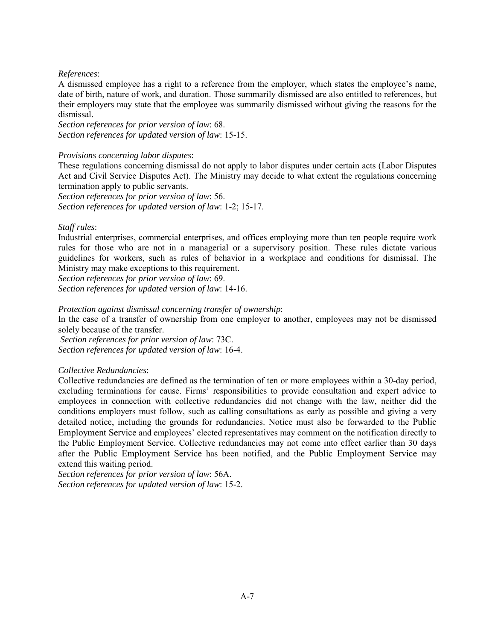# *References*:

A dismissed employee has a right to a reference from the employer, which states the employee's name, date of birth, nature of work, and duration. Those summarily dismissed are also entitled to references, but their employers may state that the employee was summarily dismissed without giving the reasons for the dismissal.

*Section references for prior version of law*: 68. *Section references for updated version of law*: 15-15.

## *Provisions concerning labor disputes*:

These regulations concerning dismissal do not apply to labor disputes under certain acts (Labor Disputes Act and Civil Service Disputes Act). The Ministry may decide to what extent the regulations concerning termination apply to public servants.

*Section references for prior version of law*: 56. *Section references for updated version of law*: 1-2; 15-17.

# *Staff rules*:

Industrial enterprises, commercial enterprises, and offices employing more than ten people require work rules for those who are not in a managerial or a supervisory position. These rules dictate various guidelines for workers, such as rules of behavior in a workplace and conditions for dismissal. The Ministry may make exceptions to this requirement.

*Section references for prior version of law*: 69.

*Section references for updated version of law*: 14-16.

*Protection against dismissal concerning transfer of ownership*:

In the case of a transfer of ownership from one employer to another, employees may not be dismissed solely because of the transfer.

*Section references for prior version of law*: 73C. *Section references for updated version of law*: 16-4.

### *Collective Redundancies*:

Collective redundancies are defined as the termination of ten or more employees within a 30-day period, excluding terminations for cause. Firms' responsibilities to provide consultation and expert advice to employees in connection with collective redundancies did not change with the law, neither did the conditions employers must follow, such as calling consultations as early as possible and giving a very detailed notice, including the grounds for redundancies. Notice must also be forwarded to the Public Employment Service and employees' elected representatives may comment on the notification directly to the Public Employment Service. Collective redundancies may not come into effect earlier than 30 days after the Public Employment Service has been notified, and the Public Employment Service may extend this waiting period.

*Section references for prior version of law*: 56A. *Section references for updated version of law*: 15-2.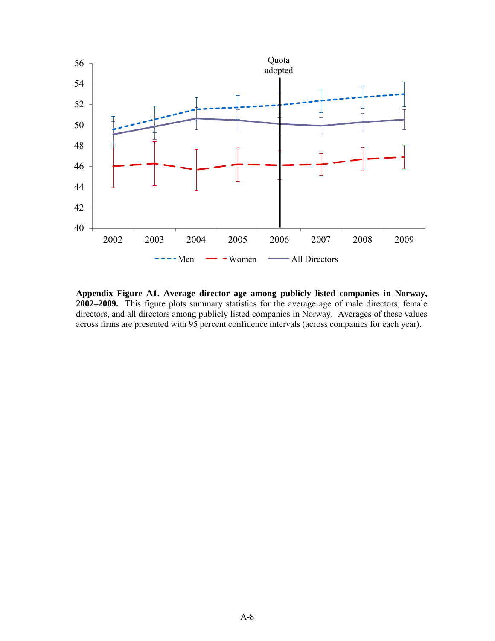

**Appendix Figure A1. Average director age among publicly listed companies in Norway, 2002–2009.** This figure plots summary statistics for the average age of male directors, female directors, and all directors among publicly listed companies in Norway. Averages of these values across firms are presented with 95 percent confidence intervals (across companies for each year).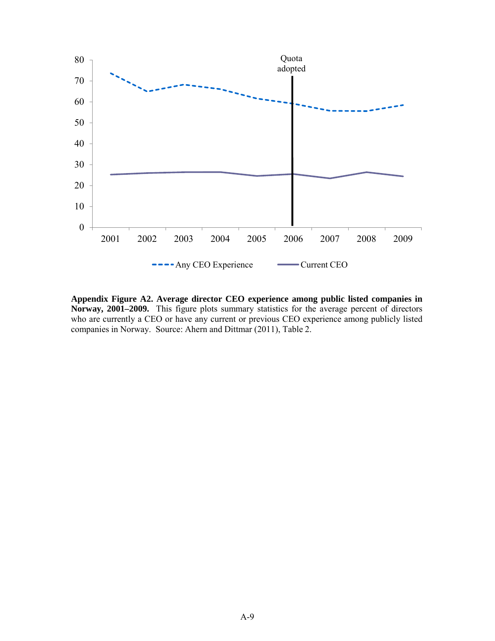

**Appendix Figure A2. Average director CEO experience among public listed companies in Norway, 2001–2009.** This figure plots summary statistics for the average percent of directors who are currently a CEO or have any current or previous CEO experience among publicly listed companies in Norway. Source: Ahern and Dittmar (2011), Table 2.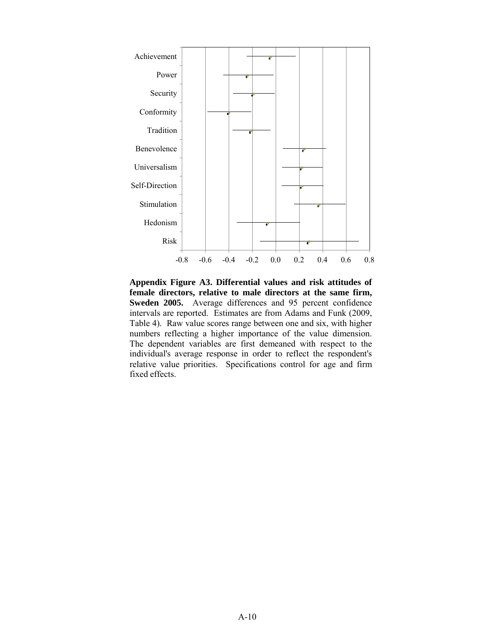

**Appendix Figure A3. Differential values and risk attitudes of female directors, relative to male directors at the same firm, Sweden 2005.** Average differences and 95 percent confidence intervals are reported. Estimates are from Adams and Funk (2009, Table 4). Raw value scores range between one and six, with higher numbers reflecting a higher importance of the value dimension. The dependent variables are first demeaned with respec<sup>t</sup> to the individual's average response in order to reflect the respondent's relative value priorities. Specifications control for age and firm fixed effects.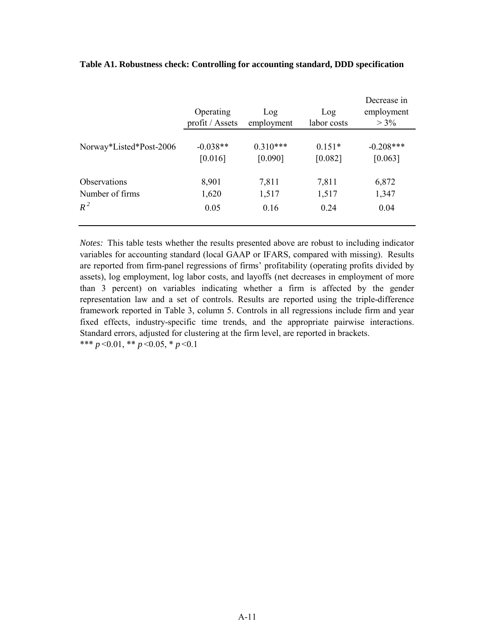|                         | Operating<br>profit / Assets | Log<br>employment | Log<br>labor costs | Decrease in<br>employment<br>$> 3\%$ |
|-------------------------|------------------------------|-------------------|--------------------|--------------------------------------|
| Norway*Listed*Post-2006 | $-0.038**$                   | $0.310***$        | $0.151*$           | $-0.208***$                          |
|                         | [0.016]                      | [0.090]           | [0.082]            | [0.063]                              |
| <b>Observations</b>     | 8,901                        | 7,811             | 7,811              | 6,872                                |
| Number of firms         | 1,620                        | 1,517             | 1,517              | 1,347                                |
| $R^2$                   | 0.05                         | 0.16              | 0.24               | 0.04                                 |

# **Table A1. Robustness check: Controlling for accounting standard, DDD specification**

*Notes:* This table tests whether the results presented above are robust to including indicator variables for accounting standard (local GAAP or IFARS, compared with missing). Results are reported from firm-panel regressions of firms' profitability (operating profits divided by assets), log employment, log labor costs, and layoffs (net decreases in employment of more than 3 percent) on variables indicating whether a firm is affected by the gender representation law and a set of controls. Results are reported using the triple-difference framework reported in Table 3, column 5. Controls in all regressions include firm and year fixed effects, industry-specific time trends, and the appropriate pairwise interactions. Standard errors, adjusted for clustering at the firm level, are reported in brackets. \*\*\* *p* <0.01, \*\* *p* <0.05, \* *p* <0.1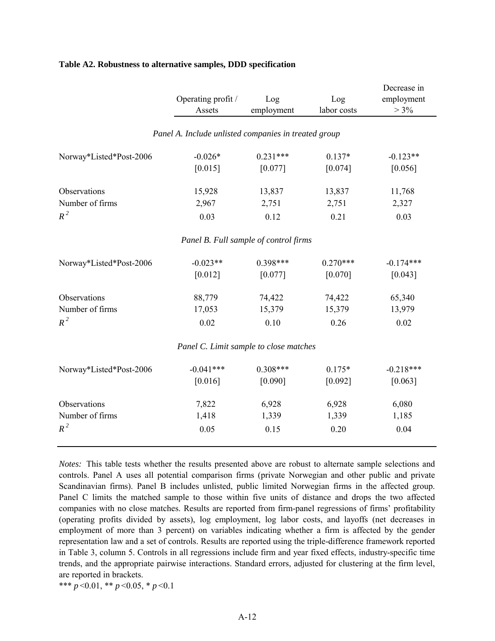|                         | Operating profit /                                   | Log        | Log         | Decrease in<br>employment |  |
|-------------------------|------------------------------------------------------|------------|-------------|---------------------------|--|
|                         | Assets                                               | employment | labor costs | $> 3\%$                   |  |
|                         | Panel A. Include unlisted companies in treated group |            |             |                           |  |
| Norway*Listed*Post-2006 | $-0.026*$                                            | $0.231***$ | $0.137*$    | $-0.123**$                |  |
|                         | [0.015]                                              | [0.077]    | [0.074]     | [0.056]                   |  |
| Observations            | 15,928                                               | 13,837     | 13,837      | 11,768                    |  |
| Number of firms         | 2,967                                                | 2,751      | 2,751       | 2,327                     |  |
| $R^2$                   | 0.03                                                 | 0.12       | 0.21        | 0.03                      |  |
|                         | Panel B. Full sample of control firms                |            |             |                           |  |
| Norway*Listed*Post-2006 | $-0.023**$                                           | $0.398***$ | $0.270***$  | $-0.174***$               |  |
|                         | [0.012]                                              | [0.077]    | [0.070]     | [0.043]                   |  |
| Observations            | 88,779                                               | 74,422     | 74,422      | 65,340                    |  |
| Number of firms         | 17,053                                               | 15,379     | 15,379      | 13,979                    |  |
| $R^2$                   | 0.02                                                 | 0.10       | 0.26        | 0.02                      |  |
|                         | Panel C. Limit sample to close matches               |            |             |                           |  |
| Norway*Listed*Post-2006 | $-0.041***$                                          | $0.308***$ | $0.175*$    | $-0.218***$               |  |
|                         | [0.016]                                              | [0.090]    | [0.092]     | [0.063]                   |  |
| Observations            | 7,822                                                | 6,928      | 6,928       | 6,080                     |  |
| Number of firms         | 1,418                                                | 1,339      | 1,339       | 1,185                     |  |
| $R^2$                   | 0.05                                                 | 0.15       | 0.20        | 0.04                      |  |
|                         |                                                      |            |             |                           |  |

## **Table A2. Robustness to alternative samples, DDD specification**

*Notes:* This table tests whether the results presented above are robust to alternate sample selections and controls. Panel A uses all potential comparison firms (private Norwegian and other public and private Scandinavian firms). Panel B includes unlisted, public limited Norwegian firms in the affected group. Panel C limits the matched sample to those within five units of distance and drops the two affected companies with no close matches. Results are reported from firm-panel regressions of firms' profitability (operating profits divided by assets), log employment, log labor costs, and layoffs (net decreases in employment of more than 3 percent) on variables indicating whether a firm is affected by the gender representation law and a set of controls. Results are reported using the triple-difference framework reported in Table 3, column 5. Controls in all regressions include firm and year fixed effects, industry-specific time trends, and the appropriate pairwise interactions. Standard errors, adjusted for clustering at the firm level, are reported in brackets.

\*\*\* *p* <0.01, \*\* *p* <0.05, \* *p* <0.1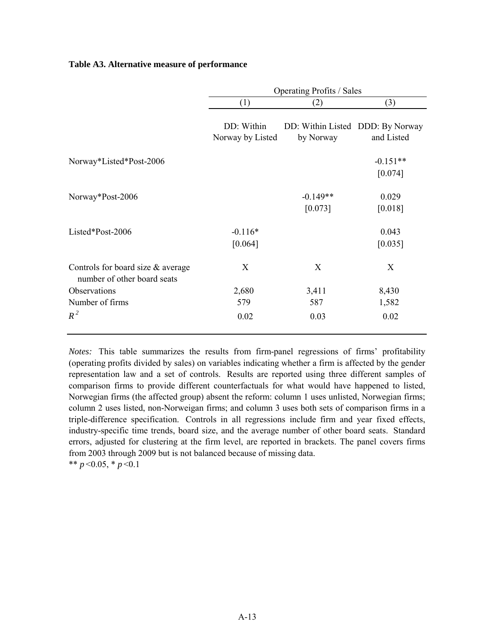# **Table A3. Alternative measure of performance**

|                                                                  |                                | <b>Operating Profits / Sales</b>              |            |  |  |  |  |
|------------------------------------------------------------------|--------------------------------|-----------------------------------------------|------------|--|--|--|--|
|                                                                  | (1)                            | (2)                                           | (3)        |  |  |  |  |
|                                                                  | DD: Within<br>Norway by Listed | DD: Within Listed DDD: By Norway<br>by Norway | and Listed |  |  |  |  |
| Norway*Listed*Post-2006                                          |                                |                                               | $-0.151**$ |  |  |  |  |
|                                                                  |                                |                                               | [0.074]    |  |  |  |  |
| Norway*Post-2006                                                 |                                | $-0.149**$                                    | 0.029      |  |  |  |  |
|                                                                  |                                | [0.073]                                       | [0.018]    |  |  |  |  |
| Listed*Post-2006                                                 | $-0.116*$                      |                                               | 0.043      |  |  |  |  |
|                                                                  | [0.064]                        |                                               | [0.035]    |  |  |  |  |
| Controls for board size & average<br>number of other board seats | X                              | X                                             | X          |  |  |  |  |
| Observations                                                     | 2,680                          | 3,411                                         | 8,430      |  |  |  |  |
| Number of firms                                                  | 579                            | 587                                           | 1,582      |  |  |  |  |
| $R^2$                                                            | 0.02                           | 0.03                                          | 0.02       |  |  |  |  |

*Notes:* This table summarizes the results from firm-panel regressions of firms' profitability (operating profits divided by sales) on variables indicating whether a firm is affected by the gender representation law and a set of controls. Results are reported using three different samples of comparison firms to provide different counterfactuals for what would have happened to listed, Norwegian firms (the affected group) absent the reform: column 1 uses unlisted, Norwegian firms; column 2 uses listed, non-Norweigan firms; and column 3 uses both sets of comparison firms in a triple-difference specification. Controls in all regressions include firm and year fixed effects, industry-specific time trends, board size, and the average number of other board seats. Standard errors, adjusted for clustering at the firm level, are reported in brackets. The panel covers firms from 2003 through 2009 but is not balanced because of missing data. \*\*  $p$  < 0.05, \*  $p$  < 0.1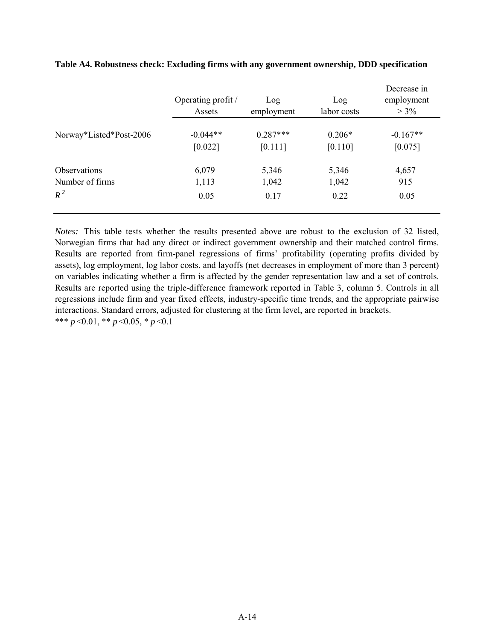|                         | Operating profit /<br>Assets | Log<br>employment | Log<br>labor costs | Decrease in<br>employment<br>$> 3\%$ |
|-------------------------|------------------------------|-------------------|--------------------|--------------------------------------|
| Norway*Listed*Post-2006 | $-0.044**$                   | $0.287***$        | $0.206*$           | $-0.167**$                           |
|                         | [0.022]                      | [0.111]           | [0.110]            | [0.075]                              |
| <b>Observations</b>     | 6,079                        | 5,346             | 5,346              | 4,657                                |
| Number of firms         | 1,113                        | 1,042             | 1,042              | 915                                  |
| $R^2$                   | 0.05                         | 0.17              | 0.22               | 0.05                                 |

# **Table A4. Robustness check: Excluding firms with any government ownership, DDD specification**

*Notes:* This table tests whether the results presented above are robust to the exclusion of 32 listed, Norwegian firms that had any direct or indirect government ownership and their matched control firms. Results are reported from firm-panel regressions of firms' profitability (operating profits divided by assets), log employment, log labor costs, and layoffs (net decreases in employment of more than 3 percent) on variables indicating whether a firm is affected by the gender representation law and a set of controls. Results are reported using the triple-difference framework reported in Table 3, column 5. Controls in all regressions include firm and year fixed effects, industry-specific time trends, and the appropriate pairwise interactions. Standard errors, adjusted for clustering at the firm level, are reported in brackets. \*\*\* *p* <0.01, \*\* *p* <0.05, \* *p* <0.1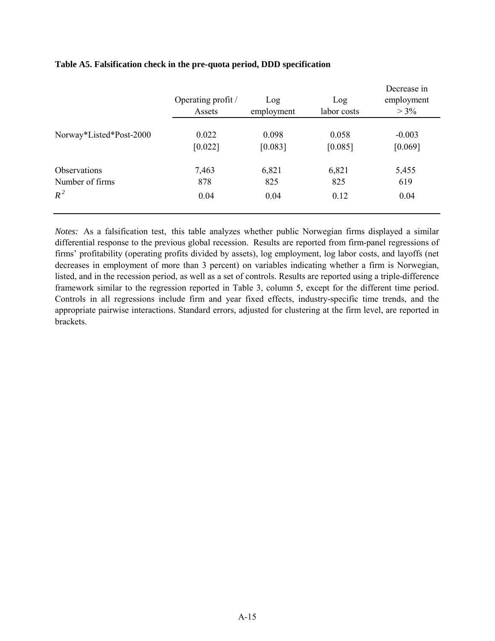|                         | Operating profit /<br>Assets | Log<br>employment | Log<br>labor costs | Decrease in<br>employment<br>$> 3\%$ |
|-------------------------|------------------------------|-------------------|--------------------|--------------------------------------|
| Norway*Listed*Post-2000 | 0.022                        | 0.098             | 0.058              | $-0.003$                             |
|                         | [0.022]                      | [0.083]           | [0.085]            | [0.069]                              |
| Observations            | 7,463                        | 6,821             | 6,821              | 5,455                                |
| Number of firms         | 878                          | 825               | 825                | 619                                  |
| $R^2$                   | 0.04                         | 0.04              | 0.12               | 0.04                                 |

# **Table A5. Falsification check in the pre-quota period, DDD specification**

*Notes:* As a falsification test, this table analyzes whether public Norwegian firms displayed a similar differential response to the previous global recession. Results are reported from firm-panel regressions of firms' profitability (operating profits divided by assets), log employment, log labor costs, and layoffs (net decreases in employment of more than 3 percent) on variables indicating whether a firm is Norwegian, listed, and in the recession period, as well as a set of controls. Results are reported using a triple-difference framework similar to the regression reported in Table 3, column 5, except for the different time period. Controls in all regressions include firm and year fixed effects, industry-specific time trends, and the appropriate pairwise interactions. Standard errors, adjusted for clustering at the firm level, are reported in brackets.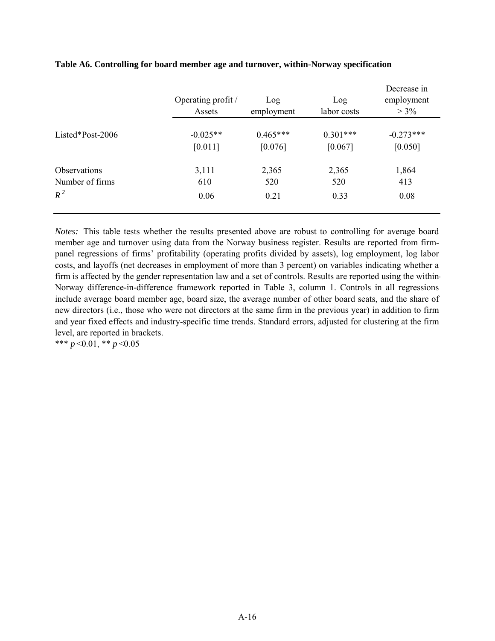|                     | Operating profit /<br>Assets | Log<br>employment | Log<br>labor costs | Decrease in<br>employment<br>$> 3\%$ |
|---------------------|------------------------------|-------------------|--------------------|--------------------------------------|
| Listed*Post-2006    | $-0.025**$                   | $0.465***$        | $0.301***$         | $-0.273***$                          |
|                     | [0.011]                      | [0.076]           | [0.067]            | [0.050]                              |
| <b>Observations</b> | 3,111                        | 2,365             | 2,365              | 1,864                                |
| Number of firms     | 610                          | 520               | 520                | 413                                  |
| $R^2$               | 0.06                         | 0.21              | 0.33               | 0.08                                 |

# **Table A6. Controlling for board member age and turnover, within-Norway specification**

*Notes:* This table tests whether the results presented above are robust to controlling for average board member age and turnover using data from the Norway business register. Results are reported from firmpanel regressions of firms' profitability (operating profits divided by assets), log employment, log labor costs, and layoffs (net decreases in employment of more than 3 percent) on variables indicating whether a firm is affected by the gender representation law and a set of controls. Results are reported using the within-Norway difference-in-difference framework reported in Table 3, column 1. Controls in all regressions include average board member age, board size, the average number of other board seats, and the share of new directors (i.e., those who were not directors at the same firm in the previous year) in addition to firm and year fixed effects and industry-specific time trends. Standard errors, adjusted for clustering at the firm level, are reported in brackets.

\*\*\* *p* <0.01, \*\* *p* <0.05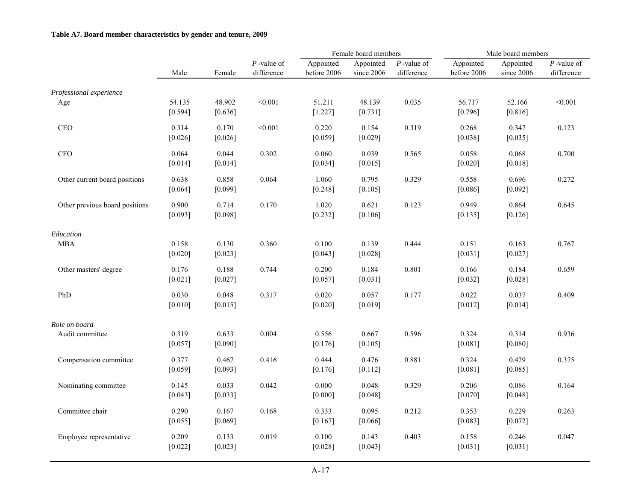## **Table A7. Board member characteristics by gender and tenure, 2009**

|                                |                   |                   |                             | Female board members     |                         | Male board members          |                          |                         |                             |
|--------------------------------|-------------------|-------------------|-----------------------------|--------------------------|-------------------------|-----------------------------|--------------------------|-------------------------|-----------------------------|
|                                | Male              | Female            | $P$ -value of<br>difference | Appointed<br>before 2006 | Appointed<br>since 2006 | $P$ -value of<br>difference | Appointed<br>before 2006 | Appointed<br>since 2006 | $P$ -value of<br>difference |
|                                |                   |                   |                             |                          |                         |                             |                          |                         |                             |
| Professional experience<br>Age | 54.135<br>[0.594] | 48.902<br>[0.636] | < 0.001                     | 51.211<br>[1.227]        | 48.139<br>[0.731]       | 0.035                       | 56.717<br>[0.796]        | 52.166<br>[0.816]       | < 0.001                     |
| CEO                            | 0.314<br>[0.026]  | 0.170<br>[0.026]  | < 0.001                     | 0.220<br>[0.059]         | 0.154<br>[0.029]        | 0.319                       | 0.268<br>[0.038]         | 0.347<br>[0.035]        | 0.123                       |
| <b>CFO</b>                     | 0.064<br>[0.014]  | 0.044<br>[0.014]  | 0.302                       | 0.060<br>[0.034]         | 0.039<br>[0.015]        | 0.565                       | 0.058<br>[0.020]         | 0.068<br>[0.018]        | 0.700                       |
| Other current board positions  | 0.638<br>[0.064]  | 0.858<br>[0.099]  | 0.064                       | 1.060<br>[0.248]         | 0.795<br>[0.105]        | 0.329                       | 0.558<br>[0.086]         | 0.696<br>[0.092]        | 0.272                       |
| Other previous board positions | 0.900<br>[0.093]  | 0.714<br>[0.098]  | 0.170                       | 1.020<br>[0.232]         | 0.621<br>[0.106]        | 0.123                       | 0.949<br>[0.135]         | 0.864<br>[0.126]        | 0.645                       |
| Education                      |                   |                   |                             |                          |                         |                             |                          |                         |                             |
| <b>MBA</b>                     | 0.158<br>[0.020]  | 0.130<br>[0.023]  | 0.360                       | 0.100<br>[0.043]         | 0.139<br>[0.028]        | 0.444                       | 0.151<br>[0.031]         | 0.163<br>[0.027]        | 0.767                       |
| Other masters' degree          | 0.176<br>[0.021]  | 0.188<br>[0.027]  | 0.744                       | 0.200<br>[0.057]         | 0.184<br>[0.031]        | 0.801                       | 0.166<br>[0.032]         | 0.184<br>[0.028]        | 0.659                       |
| PhD                            | 0.030<br>[0.010]  | 0.048<br>[0.015]  | 0.317                       | 0.020<br>[0.020]         | 0.057<br>[0.019]        | 0.177                       | 0.022<br>[0.012]         | 0.037<br>[0.014]        | 0.409                       |
| Role on board                  |                   |                   |                             |                          |                         |                             |                          |                         |                             |
| Audit committee                | 0.319<br>[0.057]  | 0.633<br>[0.090]  | 0.004                       | 0.556<br>[0.176]         | 0.667<br>[0.105]        | 0.596                       | 0.324<br>[0.081]         | 0.314<br>[0.080]        | 0.936                       |
| Compensation committee         | 0.377<br>[0.059]  | 0.467<br>[0.093]  | 0.416                       | 0.444<br>[0.176]         | 0.476<br>[0.112]        | 0.881                       | 0.324<br>[0.081]         | 0.429<br>[0.085]        | 0.375                       |
| Nominating committee           | 0.145<br>[0.043]  | 0.033<br>[0.033]  | 0.042                       | 0.000<br>[0.000]         | 0.048<br>[0.048]        | 0.329                       | 0.206<br>[0.070]         | 0.086<br>[0.048]        | 0.164                       |
| Committee chair                | 0.290<br>[0.055]  | 0.167<br>[0.069]  | 0.168                       | 0.333<br>[0.167]         | 0.095<br>[0.066]        | 0.212                       | 0.353<br>$[0.083]$       | 0.229<br>$[0.072]$      | 0.263                       |
| Employee representative        | 0.209<br>[0.022]  | 0.133<br>[0.023]  | 0.019                       | 0.100<br>[0.028]         | 0.143<br>[0.043]        | 0.403                       | 0.158<br>$[0.031]$       | 0.246<br>[0.031]        | 0.047                       |
|                                |                   |                   |                             |                          |                         |                             |                          |                         |                             |